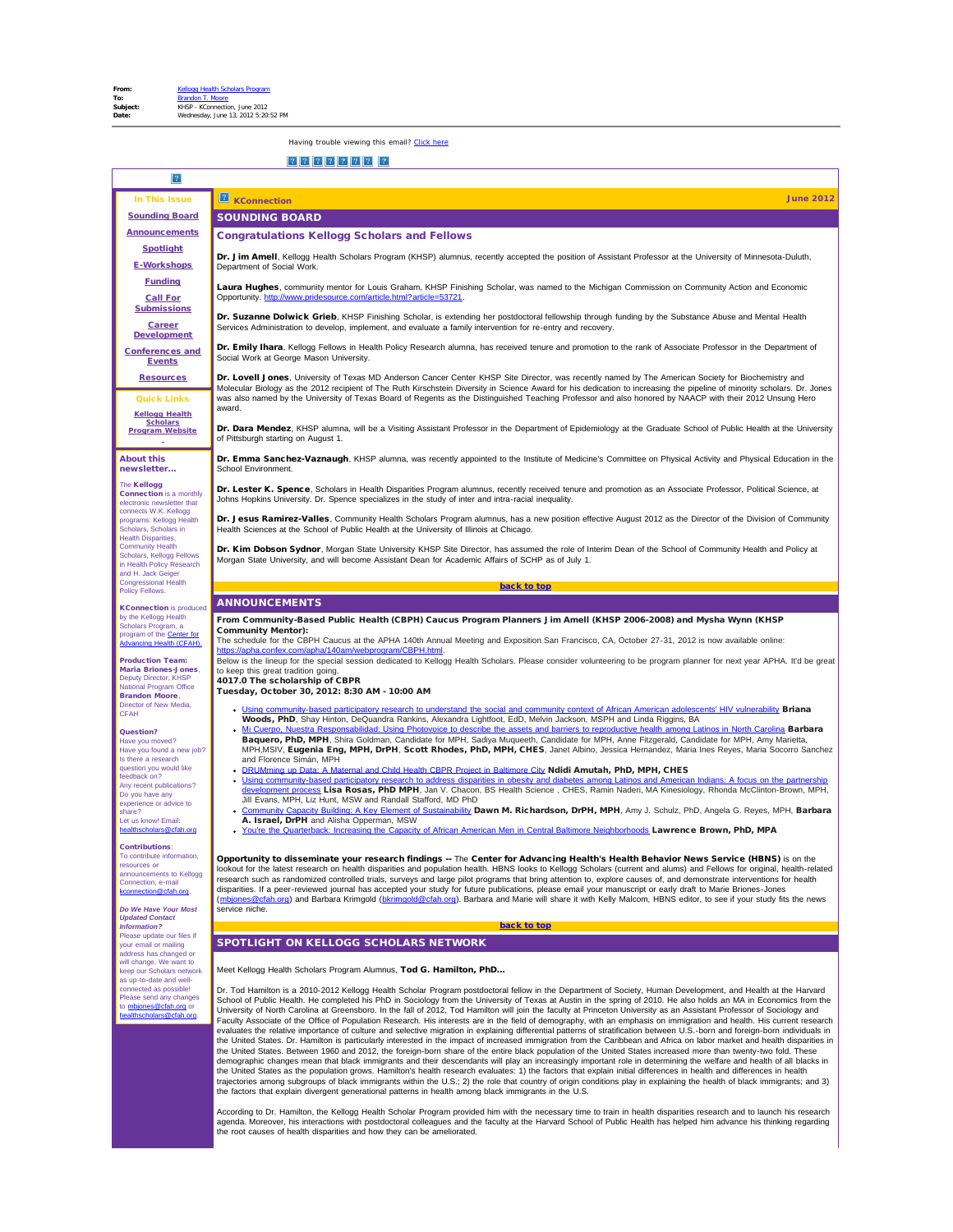<span id="page-0-4"></span><span id="page-0-3"></span><span id="page-0-1"></span><span id="page-0-0"></span>

| In This Issue                                                                                            | <b>June 2012</b><br><b>KConnection</b>                                                                                                                                                                                                                                                                                                                                                                                                                                                      |
|----------------------------------------------------------------------------------------------------------|---------------------------------------------------------------------------------------------------------------------------------------------------------------------------------------------------------------------------------------------------------------------------------------------------------------------------------------------------------------------------------------------------------------------------------------------------------------------------------------------|
| <b>Sounding Board</b>                                                                                    | <b>SOUNDING BOARD</b>                                                                                                                                                                                                                                                                                                                                                                                                                                                                       |
| <b>Announcements</b>                                                                                     | <b>Congratulations Kellogg Scholars and Fellows</b>                                                                                                                                                                                                                                                                                                                                                                                                                                         |
| <b>Spotlight</b>                                                                                         | Dr. Jim Amell, Kellogg Health Scholars Program (KHSP) alumnus, recently accepted the position of Assistant Professor at the University of Minnesota-Duluth,                                                                                                                                                                                                                                                                                                                                 |
| <b>E-Workshops</b>                                                                                       | Department of Social Work.                                                                                                                                                                                                                                                                                                                                                                                                                                                                  |
| <b>Funding</b><br><b>Call For</b>                                                                        | Laura Hughes, community mentor for Louis Graham, KHSP Finishing Scholar, was named to the Michigan Commission on Community Action and Economic<br>Opportunity. http://www.pridesource.com/article.html?article=53721.                                                                                                                                                                                                                                                                       |
| <b>Submissions</b><br><b>Career</b>                                                                      | Dr. Suzanne Dolwick Grieb, KHSP Finishing Scholar, is extending her postdoctoral fellowship through funding by the Substance Abuse and Mental Health                                                                                                                                                                                                                                                                                                                                        |
| <b>Development</b><br><b>Conferences and</b>                                                             | Services Administration to develop, implement, and evaluate a family intervention for re-entry and recovery.<br>Dr. Emily Ihara, Kellogg Fellows in Health Policy Research alumna, has received tenure and promotion to the rank of Associate Professor in the Department of                                                                                                                                                                                                                |
| <b>Events</b>                                                                                            | Social Work at George Mason University.                                                                                                                                                                                                                                                                                                                                                                                                                                                     |
| <b>Resources</b><br><b>Quick Links</b>                                                                   | Dr. Lovell Jones, University of Texas MD Anderson Cancer Center KHSP Site Director, was recently named by The American Society for Biochemistry and<br>Molecular Biology as the 2012 recipient of The Ruth Kirschstein Diversity in Science Award for his dedication to increasing the pipeline of minority scholars. Dr. Jones<br>was also named by the University of Texas Board of Regents as the Distinguished Teaching Professor and also honored by NAACP with their 2012 Unsung Hero |
| <b>Kellogg Health</b>                                                                                    | award.                                                                                                                                                                                                                                                                                                                                                                                                                                                                                      |
| <b>Scholars</b><br><b>Program Website</b>                                                                | Dr. Dara Mendez, KHSP alumna, will be a Visiting Assistant Professor in the Department of Epidemiology at the Graduate School of Public Health at the University<br>of Pittsburgh starting on August 1.                                                                                                                                                                                                                                                                                     |
| <b>About this</b><br>newsletter                                                                          | Dr. Emma Sanchez-Vaznaugh, KHSP alumna, was recently appointed to the Institute of Medicine's Committee on Physical Activity and Physical Education in the<br>School Environment.                                                                                                                                                                                                                                                                                                           |
| The Kellogg<br><b>Connection</b> is a monthly<br>electronic newsletter that                              | Dr. Lester K. Spence, Scholars in Health Disparities Program alumnus, recently received tenure and promotion as an Associate Professor, Political Science, at<br>Johns Hopkins University. Dr. Spence specializes in the study of inter and intra-racial inequality.                                                                                                                                                                                                                        |
| connects W.K. Kellogg<br>programs: Kellogg Health<br>Scholars, Scholars in<br><b>Health Disparities,</b> | Dr. Jesus Ramirez-Valles, Community Health Scholars Program alumnus, has a new position effective August 2012 as the Director of the Division of Community<br>Health Sciences at the School of Public Health at the University of Illinois at Chicago.                                                                                                                                                                                                                                      |
| <b>Community Health</b><br>Scholars, Kellogg Fellows<br>in Health Policy Research<br>and H. Jack Geiger  | Dr. Kim Dobson Sydnor, Morgan State University KHSP Site Director, has assumed the role of Interim Dean of the School of Community Health and Policy at<br>Morgan State University, and will become Assistant Dean for Academic Affairs of SCHP as of July 1.                                                                                                                                                                                                                               |
| <b>Congressional Health</b>                                                                              | back to top                                                                                                                                                                                                                                                                                                                                                                                                                                                                                 |
| Policy Fellows.                                                                                          | <b>ANNOUNCEMENTS</b>                                                                                                                                                                                                                                                                                                                                                                                                                                                                        |
| <b>KConnection</b> is produced<br>by the Kellogg Health                                                  | From Community-Based Public Health (CBPH) Caucus Program Planners Jim Amell (KHSP 2006-2008) and Mysha Wynn (KHSP                                                                                                                                                                                                                                                                                                                                                                           |
| Scholars Program, a<br>program of the Center for                                                         | <b>Community Mentor):</b><br>The schedule for the CBPH Caucus at the APHA 140th Annual Meeting and Exposition San Francisco, CA, October 27-31, 2012 is now available online:                                                                                                                                                                                                                                                                                                               |
| <b>Advancing Health (CFAH).</b>                                                                          | https://apha.confex.com/apha/140am/webprogram/CBPH.html.                                                                                                                                                                                                                                                                                                                                                                                                                                    |
| <b>Production Team:</b><br><b>Maria Briones-Jones,</b>                                                   | Below is the lineup for the special session dedicated to Kellogg Health Scholars. Please consider volunteering to be program planner for next year APHA. It'd be great<br>to keep this great tradition going.                                                                                                                                                                                                                                                                               |
| Deputy Director, KHSP<br>National Program Office                                                         | 4017.0 The scholarship of CBPR<br>Tuesday, October 30, 2012: 8:30 AM - 10:00 AM                                                                                                                                                                                                                                                                                                                                                                                                             |
| <b>Brandon Moore,</b><br>Director of New Media,                                                          |                                                                                                                                                                                                                                                                                                                                                                                                                                                                                             |
| <b>CFAH</b>                                                                                              | • Using community-based participatory research to understand the social and community context of African American adolescents' HIV vulnerability Briana<br>Woods, PhD, Shay Hinton, DeQuandra Rankins, Alexandra Lightfoot, EdD, Melvin Jackson, MSPH and Linda Riggins, BA                                                                                                                                                                                                                 |
| Question?<br>Have you moved?<br>Have you found a new job?                                                | Mi Cuerpo, Nuestra Responsabilidad: Using Photovoice to describe the assets and barriers to reproductive health among Latinos in North Carolina Barbara<br>Baquero, PhD, MPH, Shira Goldman, Candidate for MPH, Sadiya Muqueeth, Candidate for MPH, Anne Fitzgerald, Candidate for MPH, Amy Marietta,<br>MPH, MSIV, Eugenia Eng, MPH, DrPH, Scott Rhodes, PhD, MPH, CHES, Janet Albino, Jessica Hernandez, Maria Ines Reyes, Maria Socorro Sanchez                                          |
| Is there a research<br>question you would like                                                           | and Florence Simán, MPH                                                                                                                                                                                                                                                                                                                                                                                                                                                                     |
| feedback on?                                                                                             | DRUMming up Data: A Maternal and Child Health CBPR Project in Baltimore City Ndidi Amutah, PhD, MPH, CHES<br>$\bullet$<br>Using community-based participatory research to address disparities in obesity and diabetes among Latinos and American Indians: A focus on the partnership<br>$\bullet$                                                                                                                                                                                           |
| Any recent publications?<br>Do you have any                                                              | development process Lisa Rosas, PhD MPH, Jan V. Chacon, BS Health Science, CHES, Ramin Naderi, MA Kinesiology, Rhonda McClinton-Brown, MPH,<br>Jill Evans, MPH, Liz Hunt, MSW and Randall Stafford, MD PhD                                                                                                                                                                                                                                                                                  |
| experience or advice to<br>share?                                                                        | Community Capacity Building: A Key Element of Sustainability Dawn M. Richardson, DrPH, MPH, Amy J. Schulz, PhD, Angela G. Reyes, MPH, Barbara                                                                                                                                                                                                                                                                                                                                               |
| Let us know! Email:<br>healthscholars@cfah.org                                                           | A. Israel, DrPH and Alisha Opperman, MSW<br>You're the Quarterback: Increasing the Capacity of African American Men in Central Baltimore Neighborhoods Lawrence Brown, PhD, MPA                                                                                                                                                                                                                                                                                                             |
| <b>Contributions:</b>                                                                                    |                                                                                                                                                                                                                                                                                                                                                                                                                                                                                             |
| To contribute information,<br>resources or                                                               | Opportunity to disseminate your research findings -- The Center for Advancing Health's Health Behavior News Service (HBNS) is on the                                                                                                                                                                                                                                                                                                                                                        |
| announcements to Kellogg<br>Connection, e-mail                                                           | lookout for the latest research on health disparities and population health. HBNS looks to Kellogg Scholars (current and alums) and Fellows for original, health-related<br>research such as randomized controlled trials, surveys and large pilot programs that bring attention to, explore causes of, and demonstrate interventions for health                                                                                                                                            |
| connection@cfah.org                                                                                      | disparities. If a peer-reviewed journal has accepted your study for future publications, please email your manuscript or early draft to Marie Briones-Jones                                                                                                                                                                                                                                                                                                                                 |
| Do We Have Your Most                                                                                     | (mbjones@cfah.org) and Barbara Krimgold (bkrimgold@cfah.org). Barbara and Marie will share it with Kelly Malcom, HBNS editor, to see if your study fits the news<br>service niche.                                                                                                                                                                                                                                                                                                          |
| <b>Updated Contact</b><br><b>Information?</b>                                                            |                                                                                                                                                                                                                                                                                                                                                                                                                                                                                             |
| Please update our files if                                                                               | back to top                                                                                                                                                                                                                                                                                                                                                                                                                                                                                 |
| your email or mailing                                                                                    | <b>SPOTLIGHT ON KELLOGG SCHOLARS NETWORK</b>                                                                                                                                                                                                                                                                                                                                                                                                                                                |
| address has changed or                                                                                   |                                                                                                                                                                                                                                                                                                                                                                                                                                                                                             |
| will change. We want to<br>keep our Scholars network                                                     | Meet Kellogg Health Scholars Program Alumnus, Tod G. Hamilton, PhD                                                                                                                                                                                                                                                                                                                                                                                                                          |
| as up-to-date and well-<br>connected as possible!                                                        | Dr. Tod Hamilton is a 2010-2012 Kellogg Health Scholar Program postdoctoral fellow in the Department of Society, Human Development, and Health at the Harvard                                                                                                                                                                                                                                                                                                                               |
| Please send any changes<br>to mbjones@cfah.org or                                                        | School of Public Health. He completed his PhD in Sociology from the University of Texas at Austin in the spring of 2010. He also holds an MA in Economics from the                                                                                                                                                                                                                                                                                                                          |
| healthscholars@cfah.org.                                                                                 | University of North Carolina at Greensboro. In the fall of 2012, Tod Hamilton will join the faculty at Princeton University as an Assistant Professor of Sociology and<br>Faculty Associate of the Office of Population Research. His interests are in the field of demography, with an emphasis on immigration and health. His current research                                                                                                                                            |
|                                                                                                          | evaluates the relative importance of culture and selective migration in explaining differential patterns of stratification between U.S.-born and foreign-born individuals in<br>the United States. Dr. Hamilton is particularly interested in the impact of increased immigration from the Caribbean and Africa on labor market and health disparities in                                                                                                                                   |

 $\overline{\phantom{0}}$ 

<span id="page-0-2"></span>demographic changes mean that black immigrants and their descendants will play an increasingly important role in determining the welfare and health of all blacks in<br>the United States as the population grows. Hamilton's hea the factors that explain divergent generational patterns in health among black immigrants in the U.S.

According to Dr. Hamilton, the Kellogg Health Scholar Program provided him with the necessary time to train in health disparities research and to launch his research<br>agenda. Moreover, his interactions with postdoctoral col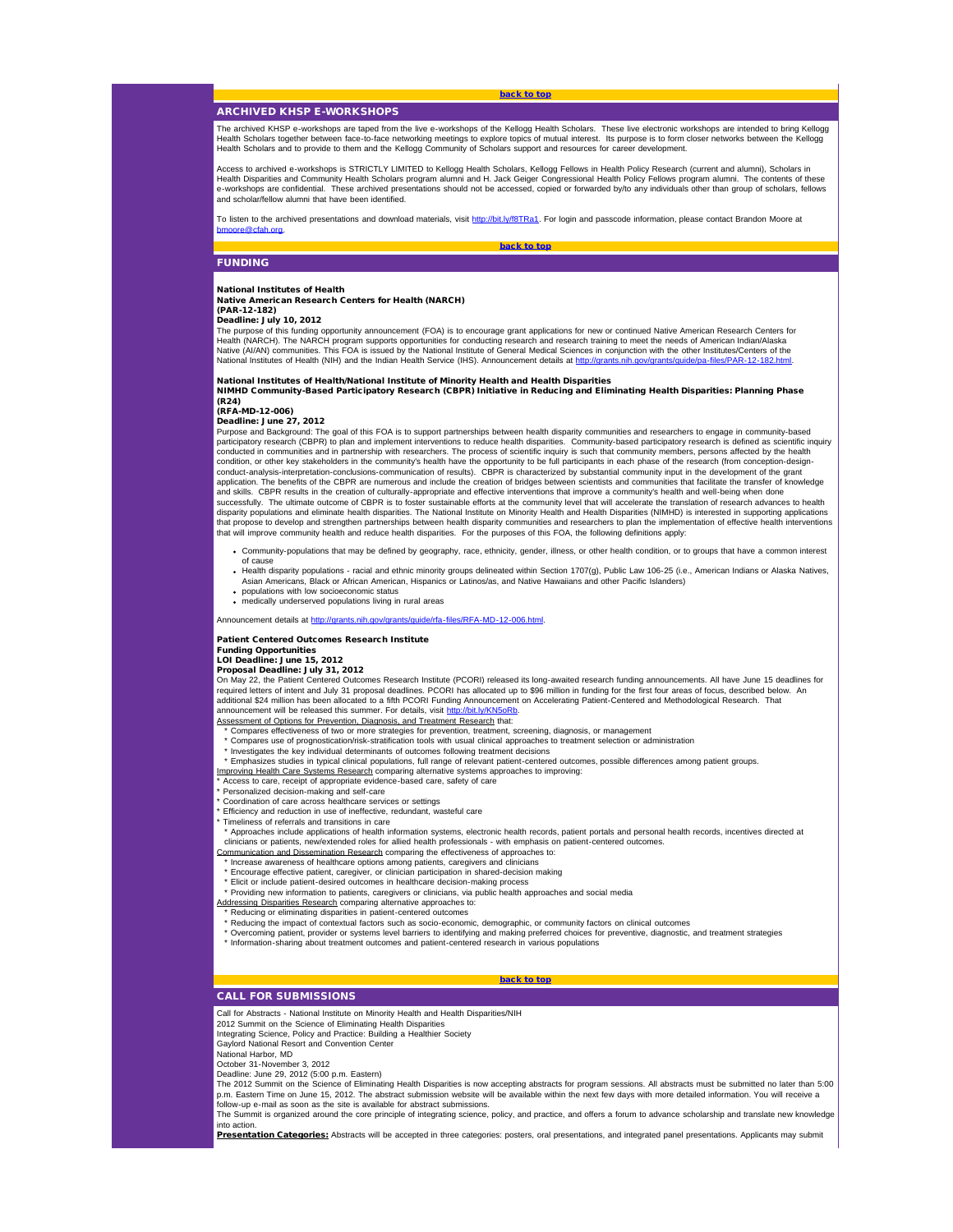# [back to top](#page-0-4)

# <span id="page-1-1"></span><span id="page-1-0"></span>ARCHIVED KHSP E-WORKSHOPS

The archived KHSP e-workshops are taped from the live e-workshops of the Kellogg Health Scholars. These live electronic workshops are intended to bring Kellogg<br>Health Scholars together between face-to-face networking meeti Health Scholars together between face-to-face networking meetings to explore topics of mutual interest. Its purpose is to form closer Health Scholars and to provide to them and the Kellogg Community of Scholars support and resources for career development.

Access to archived e-workshops is STRICTLY LIMITED to Kellogg Health Scholars, Kellogg Fellows in Health Policy Research (current and alumni), Scholars in Health Disparities and Community Health Scholars program alumni and H. Jack Geiger Congressional Health Policy Fellows program alumni. The contents of these<br>e-workshops are confidential. These archived presentations should and scholar/fellow alumni that have been identified.

To listen to the archived presentations and download materials, visit [http://bit.ly/f8TRa1](http://r20.rs6.net/tn.jsp?e=001ta6zu6pY3fLItHr7S3-6VFxGDxh4sQUankBWFb2HXVR6OEkGAcotscdl3Nt-6QqFgqzvE9pINbOfjyUA1KkbcU4-Er84SPkZ1BfGpNvvuG9v9ryCdoS2AJFGUrgjOBUJYQn6Fte_v3M=). For login and passcode information, please contact Brandon Moore at h.org.

[back to top](#page-0-4)

# FUNDING

# National Institutes of Health

Native American Research Centers for Health (NARCH)

#### (PAR-12-182) Deadline: July 10, 2012

The purpose of this funding opportunity announcement (FOA) is to encourage grant applications for new or continued Native American Research Centers for Health (NARCH). The NARCH program supports opportunities for conducting research and research training to meet the needs of American Indian/Alaska<br>Native (AI/AN) communities. This FOA is issued by the National Institute of National Institutes of Health (NIH) and the Indian Health Service (IHS). Announcement details at http://grants.nih.gov/grants/guide/pa-files/PAR-12-182.html

National Institutes of Health/National Institute of Minority Health and Health Disparities NIMHD Community-Based Participatory Research (CBPR) Initiative in Reducing and Eliminating Health Disparities: Planning Phase (R24)

# (RFA-MD-12-006)

Deadline: June 27, 2012<br>Purpose and Background: The goal of this FOA is to support partnerships between health disparity communities and researchers to engage in community-based participatory research (CBPR) to plan and implement interventions to reduce health disparities. Community-based participatory research is defined as scientific inquiry conducted in communities and in partnership with researchers. The process of scientific inquiry is such that community members, persons affected by the health condition, or other key stakeholders in the community's health have the opportunity to be full participants in each phase of the research (from conception-designconduct-analysis-interpretation-conclusions-communication of results). CBPR is characterized by substantial community input in the development of the grant application. The benefits of the CBPR are numerous and include the creation of bridges between scientists and communities that facilitate the transfer of knowledge<br>and skills. CBPR results in the creation of culturally-app disparity populations and eliminate health disparities. The National Institute on Minority Health and Health Disparities (NIMHD) is interested in supporting applications<br>that propose to develop and strengthen partnerships that will improve community health and reduce health disparities. For the purposes of this FOA, the following definitions apply:

- Community-populations that may be defined by geography, race, ethnicity, gender, illness, or other health condition, or to groups that have a common interest of cause
- Health disparity populations racial and ethnic minority groups delineated within Section 1707(g), Public Law 106-25 (i.e., American Indians or Alaska Natives, Asian Americans, Black or African American, Hispanics or Latinos/as, and Native Hawaiians and other Pacific Islanders) populations with low socioeconomic status
- medically underserved populations living in rural areas

Announcement details at [http://grants.nih.gov/grants/guide/rfa-files/RFA-MD-12-006.html](http://r20.rs6.net/tn.jsp?e=001ta6zu6pY3fIn9LaRL8mqFaLglsuilE7vBihukUxV7_S9bQ7B1QjLOGJwp0pieDp1vetE89SwyrH0rhgvd9M6n8o5IMn5CzoFl7yOo3GKL7_uNOhAzEUJ0fk8gyMu-B_Lctfi9_lTKVrE8COPA6Ap1qWUFZItv3-kPgKUUmMfve4=).

## Patient Centered Outcomes Research Institute

Funding Opportunities LOI Deadline: June 15, 2012

# Proposal Deadline: July 31, 2012

On May 22, the Patient Centered Outcomes Research Institute (PCORI) released its long-awaited research funding announcements. All have June 15 deadlines for<br>required letters of intent and July 31 proposal deadlines. PCORI additional \$24 million has been allocated to a fifth PCORI Funding Announcement on Accelerating Patient-Centered and Methodological Research. That announcement will be released this summer. For details, visit [http://bit.ly/KN5oRb](http://r20.rs6.net/tn.jsp?e=001ta6zu6pY3fJaZ2c1qtDx5kOuVbc8JK0n3zMrQCFMujDd24B6PYUoR2j3E_omUiA0YAP1eazIBfEWP9wJPNTBKRS9r9S2vz9fFiUTJtEsB_c=).

Assessment of Options for Prevention, Diagnosis, and Treatment Research that:

- \* Compares effectiveness of two or more strategies for prevention, treatment, screening, diagnosis, or management
- \* Compares use of prognostication/risk-stratification tools with usual clinical approaches to treatment selection or administration \* Investigates the key individual determinants of outcomes following treatment decisions
- \* Emphasizes studies in typical clinical populations, full range of relevant patient-centered outcomes, possible differences among patient groups.
- 

<u>Improving Health Care Systems Research</u> comparing alternative systems approaches to improving:<br>\* Access to care, receipt of appropriate evidence-based care, safety of care

# Personalized decision-making and self-care

<span id="page-1-2"></span>Coordination of care across healthcare services or settings

Efficiency and reduction in use of ineffective, redundant, wasteful care

Timeliness of referrals and transitions in care

\* Approaches include applications of health information systems, electronic health records, patient portals and personal health records, incentives directed at<br>clinicians or patients, new/extended roles for allied health p

- Communication and Dissemination Research comparing the effectiveness of approaches to:
- \* Increase awareness of healthcare options among patients, caregivers and clinicians \* Encourage effective patient, caregiver, or clinician participation in shared-decision making
- \* Elicit or include patient-desired outcomes in healthcare decision-making process
- \* Providing new information to patients, caregivers or clinicians, via public health approaches and social media Addressing Disparities Research comparing alternative approaches to:

- \* Reducing or eliminating disparities in patient-centered outcomes
- \* Reducing the impact of contextual factors such as socio-economic, demographic, or community factors on clinical outcomes<br>\* Overcoming patient, provider or systems level barriers to identifying and making preferred choice
- 
- \* Information-sharing about treatment outcomes and patient-centered research in various populations

# CALL FOR SUBMISSIONS

Call for Abstracts - National Institute on Minority Health and Health Disparities/NIH

2012 Summit on the Science of Eliminating Health Disparities

Integrating Science, Policy and Practice: Building a Healthier Society Gaylord National Resort and Convention Center

National Harbor, MD

October 31-November 3, 2012

Deadline: June 29, 2012 (5:00 p.m. Eastern)

The 2012 Summit on the Science of Eliminating Health Disparities is now accepting abstracts for program sessions. All abstracts must be submitted no later than 5:00 p.m. Eastern Time on June 15, 2012. The abstract submission website will be available within the next few days with more detailed information. You will receive a<br>follow-up e-mail as soon as the site is available for abstra

[back to top](#page-0-4)

The Summit is organized around the core principle of integrating science, policy, and practice, and offers a forum to advance scholarship and translate new knowledge into action.

Presentation Categories: Abstracts will be accepted in three categories: posters, oral presentations, and integrated panel presentations. Applicants may submit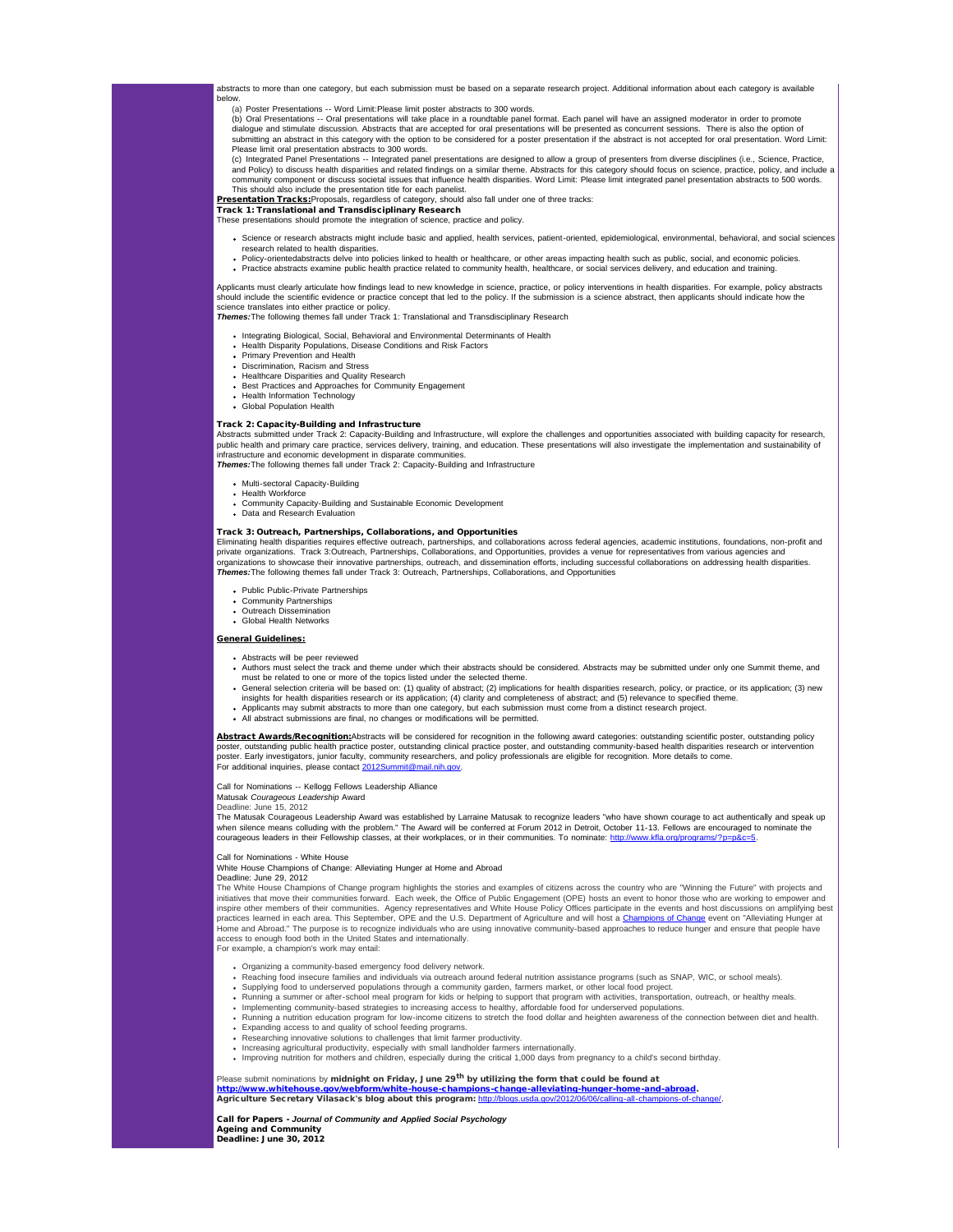abstracts to more than one category, but each submission must be based on a separate research project. Additional information about each category is available below.

(a) Poster Presentations -- Word Limit:Please limit poster abstracts to 300 words.

(b) Oral Presentations -- Oral presentations will take place in a roundtable panel format. Each panel will have an assigned moderator in order to promote<br>dialogue and stimulate discussion. Abstracts that are accepted for o submitting an abstract in this category with the option to be considered for a poster presentation if the abstract is not accepted for oral presentation. Word Limit: Please limit oral presentation abstracts to 300 words.

(c) Integrated Panel Presentations -- Integrated panel presentations are designed to allow a group of presenters from diverse disciplines (i.e., Science, Practice,<br>and Policy) to discuss health disparities and related find community component or discuss societal issues that influence health disparities. Word Limit: Please limit integrated panel presentation abstracts to 500 words.<br>This should also include the presentation title for each pane

<u>Presentation Tracks:</u>Proposals, regardless of category, should also fall under one of three tracks:<br>Track 1: Translational and Transdisciplinary Research

These presentations should promote the integration of science, practice and policy.

- - Science or research abstracts might include basic and applied, health services, patient-oriented, epidemiological, environmental, behavioral, and social sciences
	- research related to health disparities.<br>Policy-orientedabstracts delve into policies linked to health or healthcare, or other areas impacting health such as public, social, and economic policies. Practice abstracts examine public health practice related to community health, healthcare, or social services delivery, and education and training.

Applicants must clearly articulate how findings lead to new knowledge in science, practice, or policy interventions in health disparities. For example, policy abstracts<br>should include the scientific evidence or practice co science translates into either practice or policy. *Themes:*The following themes fall under Track 1: Translational and Transdisciplinary Research

- 
- Integrating Biological, Social, Behavioral and Environmental Determinants of Health Health Disparity Populations, Disease Conditions and Risk Factors
- 
- Primary Prevention and Health Discrimination, Racism and Stress
- Healthcare Disparities and Quality Research
- Best Practices and Approaches for Community Engagement
- Health Information Technology
- Global Population Health

# Track 2: Capacity-Building and Infrastructure

Abstracts submitted under Track 2: Capacity-Building and Infrastructure, will explore the challenges and opportunities associated with building capacity for research, public health and primary care practice, services delivery, training, and education. These presentations will also investigate the implementation and sustainability of infrastructure and economic development in disparate communities.

**Themes:**The following themes fall under Track 2: Capacity-Building and Infrastructure

- Multi-sectoral Capacity-Building
- Health Workforce
- Community Capacity-Building and Sustainable Economic Development
- Data and Research Evaluation

### Track 3: Outreach, Partnerships, Collaborations, and Opportunities

Eliminating health disparities requires effective outreach, partnerships, and collaborations across federal agencies, academic institutions, foundations, non-profit and private organizations. Track 3:Outreach, Partnerships, Collaborations, and Opportunities, provides a venue for representatives from various agencies and organizations to showcase their innovative partnerships, outreach, and dissemination efforts, including successful collaborations on addressing health disparities. **Themes:**The following themes fall under Track 3: Outreach, Partnerships, Collaborations, and Opportunities

- Public Public-Private Partnerships
- Community Partnerships Outreach Dissemination
- Global Health Networks

### General Guidelines:

- Abstracts will be peer reviewed
- Authors must select the track and theme under which their abstracts should be considered. Abstracts may be submitted under only one Summit theme, and must be related to one or more of the topics listed under the selected theme.
- General selection criteria will be based on: (1) quality of abstract; (2) implications for health disparities research, policy, or practice, or its application; (3) new
- insights for health disparities research or its application; (4) clarity and completeness of abstract; and (5) relevance to specified theme.<br>Applicants may submit abstracts to more than one category, but each submission mu
- All abstract submissions are final, no changes or modifications will be permitted.

Abstract Awards/Recognition: Abstracts will be considered for recognition in the following award categories: outstanding scientific poster, outstanding policy poster, outstanding public health practice poster, outstanding clinical practice poster, and outstanding community-based health disparities research or intervention<br>poster. Early investigators, junior faculty, community re For additional inquiries, please contact [2012Summit@mail.nih.gov](mailto:2012Summit@mail.nih.gov).

Call for Nominations -- Kellogg Fellows Leadership Alliance

Matusak *Courageous Leadership* Award

Deadline: June 15, 2012

The Matusak Courageous Leadership Award was established by Larraine Matusak to recognize leaders "who have shown courage to act authentically and speak up when silence means colluding with the problem." The Award will be conferred at Forum 2012 in Detroit, October 11-13. Fellows are encouraged to nominate the<br>courageous leaders in their Fellowship classes, at their workplace

# Call for Nominations - White House

White House Champions of Change: Alleviating Hunger at Home and Abroad

# Deadline: June 29, 2012

The White House Champions of Change program highlights the stories and examples of citizens across the country who are "Winning the Future" with projects and initiatives that move their communities forward. Each week, the Office of Public Engagement (OPE) hosts an event to honor those who are working to empower and<br>inspire other members of their communities. Agency representati practices learned in each area. This September, OPE and the U.S. Department of Agriculture and will host a <u>Champions of Change</u> event on "Alleviating Hunger at<br>Home and Abroad." The purpose is to recognize individuals who access to enough food both in the United States and internationally. For example, a champion's work may entail:

- 
- Organizing a community-based emergency food delivery network.
- Reaching food insecure families and individuals via outreach around federal nutrition assistance programs (such as SNAP, WIC, or school meals).
- Supplying food to underserved populations through a community garden, farmers market, or other local food project<br>Running a summer or after-school meal program for kids or helping to support that program with activities, t
- 
- Running a nutrition education program for low-income citizens to stretch the food dollar and heighten awareness of the connection between diet and health.<br>Expanding access to and quality of school feeding programs.
- Researching innovative solutions to challenges that limit farmer productivity.
- Increasing agricultural productivity, especially with small landholder farmers internationally
- Improving nutrition for mothers and children, especially during the critical 1,000 days from pregnancy to a child's second birthday.

# Please submit nominations by midnight on Friday, June 29<sup>th</sup> by utilizing the form that could be found at

[http://www.whitehouse.gov/webform/white-house-champions-change-alleviating-hunger-home-and-abroad](http://r20.rs6.net/tn.jsp?e=001ta6zu6pY3fJ5gElHRpIsV6LxJGpBBcpDjcE7dPramV8rwmGwyFJUGM50kQwZEhpb7a_FugzMPYooNN52Ozkqky8JBnbBgwqO7iJ5_ldVmuybxDK_FOP2yDbl07-mxNWVW1fuyXVkTRfuQ7moE8HV_evlIIaGANzTNqT2pStBxDjkb-m74Fq9bs444fnonHfT45JEmXEXQBjL4TVIRgloOg==). Agriculture Secretary Vilasack's blog about this program: [http://blogs.usda.gov/2012/06/06/calling-all-champions-of-change/](http://r20.rs6.net/tn.jsp?e=001ta6zu6pY3fLVeezGZnxkCXMryhOwEuc3lePERnIbZHCf1PWH5-WvN-1y_3Il5qRfbsP2yHWsDKnSgJLcDk_jH7W0847QL3SHedpom5P1BxfQUwEaqZgERU8XOIVdFHSX6Yr7Ftc8IgYyzF4eV9W4lrSMT0TbVGjvKm19IGpdx4qrS2nU49eSkw==).

# Call for Papers - *Journal of Community and Applied Social Psychology* Ageing and Community

Deadline: June 30, 2012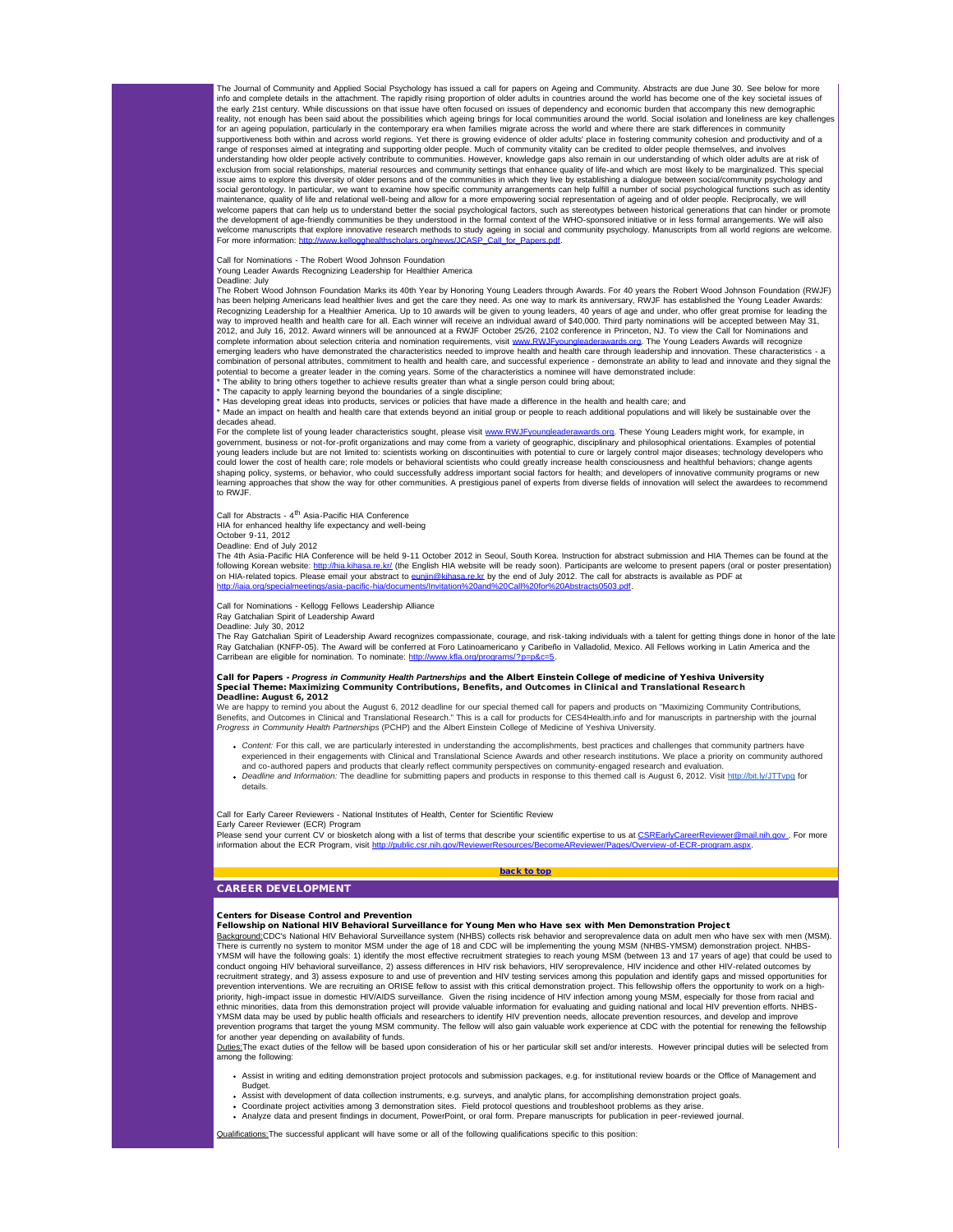The Journal of Community and Applied Social Psychology has issued a call for papers on Ageing and Community. Abstracts are due June 30. See below for more<br>info and complete details in the attachment. The rapidly rising pro the early 21st century. While discussions on that issue have often focused on issues of dependency and economic burden that accompany this new demographic reality, not enough has been said about the possibilities which ageing brings for local communities around the world. Social isolation and loneliness are key challenges for an ageing population, particularly in the contemporary era when families migrate across the world and where there are stark differences in community supportiveness both within and across world regions. Yet there is growing evidence of older adults' place in fostering community cohesion and productivity and of a range of responses aimed at integrating and supporting older people. Much of community vitality can be credited to older people themselves, and involves<br>understanding how older people actively contribute to communities. Ho exclusion from social relationships, material resources and community settings that enhance quality of life-and which are most likely to be marginalized. This special issue aims to explore this diversity of older persons and of the communities in which they live by establishing a dialogue between social/community psychology and<br>social gerontology. In particular, we want to examine how s maintenance, quality of life and relational well-being and allow for a more empowering social representation of ageing and of older people. Reciprocally, we will welcome papers that can help us to understand better the social psychological factors, such as stereotypes between historical generations that can hinder or promote the development of age-friendly communities be they understood in the formal context of the WHO-sponsored initiative or in less formal arrangements. We will also welcome manuscripts that explore innovative research methods to study ageing in social and community psychology. Manuscripts from all world regions are welcome.<br>For more information: <u>http://www.kellogghealthscholars.org/n</u>

#### Call for Nominations - The Robert Wood Johnson Foundation Young Leader Awards Recognizing Leadership for Healthier America

Deadline: July

The Robert Wood Johnson Foundation Marks its 40th Year by Honoring Young Leaders through Awards. For 40 years the Robert Wood Johnson Foundation (RWJF)<br>has been helping Americans lead healthier lives and get the care they Recognizing Leadership for a Healthier America. Up to 10 awards will be given to young leaders, 40 years of age and under, who offer great promise for leading the<br>way to improved health and health care for all. Each winner 2012, and July 16, 2012. Award winners will be announced at a RWJF October 25/26, 2102 conference in Princeton, NJ. To view the Call for Nominations and complete information about selection criteria and nomination requirements, visit [www.RWJFyoungleaderawards.org](http://r20.rs6.net/tn.jsp?e=001ta6zu6pY3fI6YWXL79Z3dxWXsFNO4odo0vHP9ooK3_XyMw8-iHuHxKqpRBPztq5QknSvb-GnTkGlQsX-ICkRN23UHpy-gcef6U32NFoP2r5yXFwdTYz4zw2Rh-xYP54O). The Young Leaders Awards will recognize emerging leaders who have demonstrated the characteristics needed to improve health and health care through leadership and innovation. These characteristics - a<br>combination of personal attributes, commitment to health and potential to become a greater leader in the coming years. Some of the characteristics a nominee will have demonstrated include:

\* The ability to bring others together to achieve results greater than what a single person could bring about; \* The capacity to apply learning beyond the boundaries of a single discipline;

\* Has developing great ideas into products, services or policies that have made a difference in the health and health care; and

\* Made an impact on health and health care that extends beyond an initial group or people to reach additional populations and will likely be sustainable over the decades ahead.

For the complete list of young leader characteristics sought, please visit [www.RWJFyoungleaderawards.org.](http://r20.rs6.net/tn.jsp?e=001ta6zu6pY3fI6YWXL79Z3dxWXsFNO4odo0vHP9ooK3_XyMw8-iHuHxKqpRBPztq5QknSvb-GnTkGlQsX-ICkRN23UHpy-gcef6U32NFoP2r5yXFwdTYz4zw2Rh-xYP54O) These Young Leaders might work, for example, in government, business or not-for-profit organizations and may come from a variety of geographic, disciplinary and philosophical orientations. Examples of potential<br>young leaders include but are not limited to: scientists wo could lower the cost of health care; role models or behavioral scientists who could greatly increase health consciousness and healthful behaviors; change agents<br>shaping policy, systems, or behavior, who could successfully learning approaches that show the way for other communities. A prestigious panel of experts from diverse fields of innovation will select the awardees to recommend to RWJF.

Call for Abstracts - 4<sup>th</sup> Asia-Pacific HIA Conference

HIA for enhanced healthy life expectancy and well-being

October 9-11, 2012 Deadline: End of July 2012

The 4th Asia-Pacific HIA Conference will be held 9-11 October 2012 in Seoul, South Korea. Instruction for abstract submission and HIA Themes can be found at the following Korean website: <u>http://hia.kihasa.re.kr/</u> (the English HIA website will be ready soon). Participants are welcome to present papers (oral or poster presentation)<br>on HIA-related topics. Please email your abstract iaia.org/specialmeetings/asia-pacific-hia/documents/Invitation%20and%20Call%20for%20Abstracts0503.pdf.

### Call for Nominations - Kellogg Fellows Leadership Alliance

Ray Gatchalian Spirit of Leadership Award

Deadline: July 30, 2012<br>The Ray Gatchalian Spirit of Leadership Award recognizes compassionate, courage, and risk-taking individuals with a talent for getting things done in honor of the late Ray Gatchalian (KNFP-05). The Award will be conferred at Foro Latinoamericano y Caribeño in Valladolid, Mexico. All Fellows working in Latin America and the Carribean are eligible for nomination. To nominate: http://

### Call for Papers - *Progress in Community Health Partnerships* and the Albert Einstein College of medicine of Yeshiva University Special Theme: Maximizing Community Contributions, Benefits, and Outcomes in Clinical and Translational Research Deadline: August 6, 2012

<span id="page-3-0"></span>We are happy to remind you about the August 6, 2012 deadline for our special themed call for papers and products on "Maximizing Community Contributions, Benefits, and Outcomes in Clinical and Translational Research." This is a call for products for CES4Health.info and for manuscripts in partnership with the journal<br>*Progress in Community Health Partnerships* (PCHP) and the

- *Content:* For this call, we are particularly interested in understanding the accomplishments, best practices and challenges that community partners have experienced in their engagements with Clinical and Translational Science Awards and other research institutions. We place a priority on community authored
- and co-authored papers and products that clearly reflect community perspectives on community-engaged research and evaluation.<br>*Deadline and Information:* The deadline for submitting papers and products in response to this details.

Call for Early Career Reviewers - National Institutes of Health, Center for Scientific Review

Early Career Reviewer (ECR) Program<br>Please send your current CV or biosketch along with a list of terms that describe your scientific expertise to us at <u>[CSREarlyCareerReviewer@mail.nih.gov](mailto:CSREarlyCareerReviewer@mail.nih.gov)</u> . For more information about the ECR Program, visit [http://public.csr.nih.gov/ReviewerResources/BecomeAReviewer/Pages/Overview-of-ECR-program.aspx.](http://r20.rs6.net/tn.jsp?e=001ta6zu6pY3fJL8CIUdvxZcBpBy-o0Jms8I8AGAoxlreUryuC7anMPiWUPEbZUVThLtEUC-YLmG5rVCSFZvkt_tcd9-M2O9Dh2qFb4e2zT0zJ7OzpaD6LO5B888I7r1FSJy-0fzwluTsHXNPEDtWYkQoxWHk3FIDrxLonkzuITpYTg5t8pPZMzxIJ6-JsrlcFtiRqttZfHQzM3IksSDSWJiw==) [back to top](#page-0-4)

# CAREER DEVELOPMENT

# Centers for Disease Control and Prevention

# Fellowship on National HIV Behavioral Surveillance for Young Men who Have sex with Men Demonstration Project

Background:CDC's National HIV Behavioral Surveillance system (NHBS) collects risk behavior and seroprevalence data on adult men who have sex with men (MSM). There is currently no system to monitor MSM under the age of 18 and CDC will be implementing the young MSM (NHBS-YMSM) demonstration project. NHBS-<br>YMSM will have the following goals: 1) identify the most effective recruit conduct ongoing HIV behavioral surveillance, 2) assess differences in HIV risk behaviors, HIV seroprevalence, HIV incidence and other HIV-related outcomes by recruitment strategy, and 3) assess exposure to and use of prevention and HIV testing services among this population and identify gaps and missed opportunities for<br>prevention interventions. We are recruiting an ORISE fello priority, high-impact issue in domestic HIV/AIDS surveillance. Given the rising incidence of HIV infection among young MSM, especially for those from racial and<br>ethnic minorities, data from this demonstration project will YMSM data may be used by public health officials and researchers to identify HIV prevention needs, allocate prevention resources, and develop and improve prevention programs that target the young MSM community. The fellow will also gain valuable work experience at CDC with the potential for renewing the fellowship for another year depending on availability of funds.

Duties: The exact duties of the fellow will be based upon consideration of his or her particular skill set and/or interests. However principal duties will be selected from among the following:

- Assist in writing and editing demonstration project protocols and submission packages, e.g. for institutional review boards or the Office of Management and Budget.
- 
- Assist with development of data collection instruments, e.g. surveys, and analytic plans, for accomplishing demonstration project goals.<br>Coordinate project activities among 3 demonstration sites. Field protocol questions a
- Analyze data and present findings in document, PowerPoint, or oral form. Prepare manuscripts for publication in peer-reviewed journal.

ons: The successful applicant will have some or all of the following qualifications specific to this position: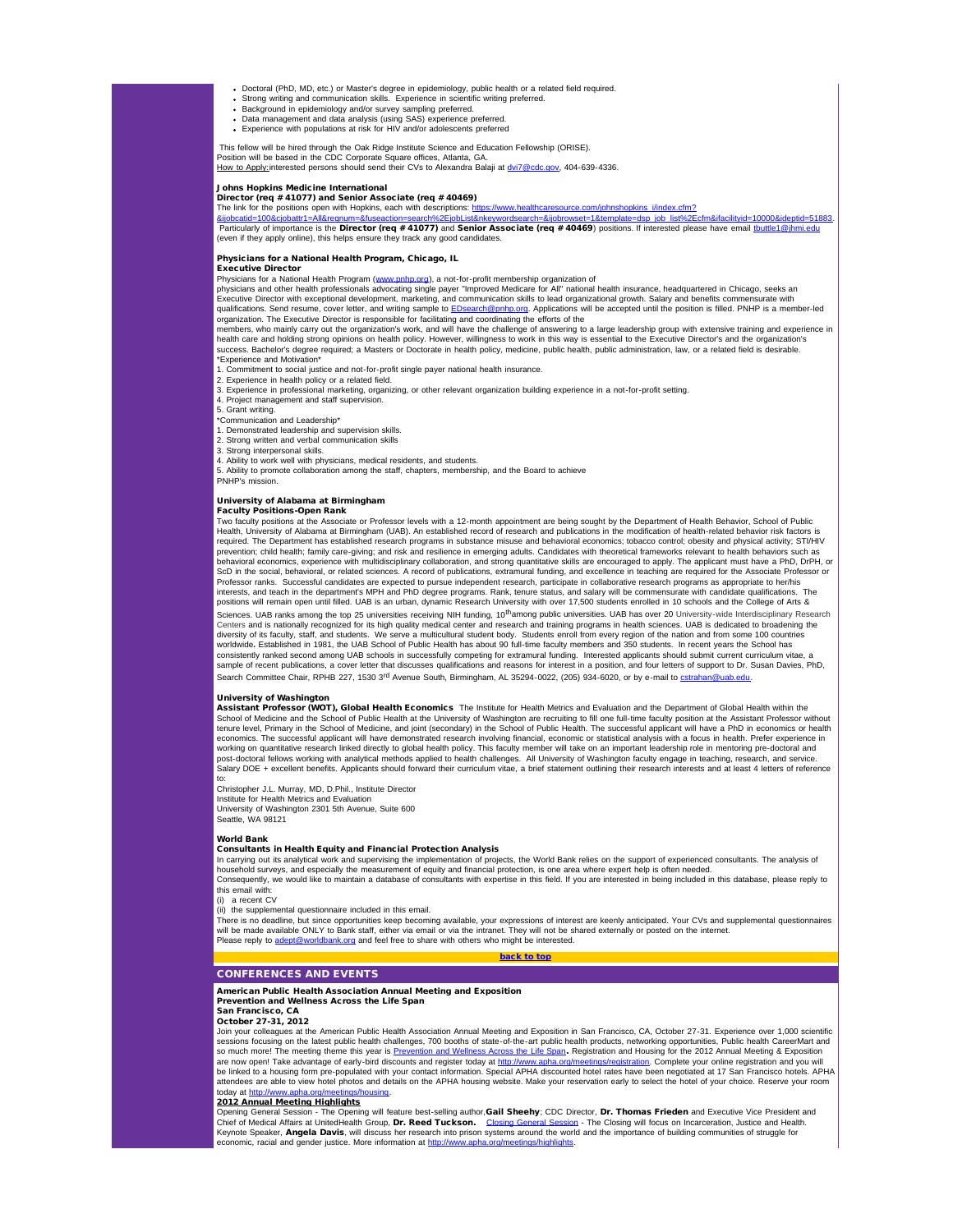- Doctoral (PhD, MD, etc.) or Master's degree in epidemiology, public health or a related field required. Strong writing and communication skills. Experience in scientific writing preferred.
- 
- Background in epidemiology and/or survey sampling preferred. Data management and data analysis (using SAS) experience preferred.
- Experience with populations at risk for HIV and/or adolescents preferred

This fellow will be hired through the Oak Ridge Institute Science and Education Fellowship (ORISE).

Position will be based in the CDC Corporate Square offices, Atlanta, GA.<br><u>How to Apply:</u>interested persons should send their CVs to Alexandra Balaji at <u>[dvi7@cdc.gov](mailto:dvi7@cdc.gov),</u> 404-639-4336.

# Johns Hopkins Medicine International

Director (req # 41077) and Senior Associate (req # 40469)

The link for the positions open with Hopkins, each with descriptions: [https://www.healthcaresource.com/johnshopkins\\_i/index.cfm?](http://r20.rs6.net/tn.jsp?e=001ta6zu6pY3fJWFVKhCKUPDB1adfYD-pltT60u6UjvvxN6Nskjj0lNd-CzE9mqxd8nBXCneiZ4C6ZVv2UUuWLusuQEVfd4K2XHpiN8v44aNgOAC0Sy86hgxZMr8ipvuF0ogbw6CKjvxluoNKxmf6tzmo2Tc8DQOepHRYbGXZ5c_xWX6U9rGWAOoHlTmZz6lnhKdITw8owYQuCbNSoIuE5sNr1LfeYMmaY4kEwcM5euUKc_s7VBsMncwc4BaH7NhE9L753B4LVZvrWNMH71Su6geuB88JIYXG6vDIDJfFPS6Ii7O0sciiuJmHbR_PkV92tkMa6lw2xYKFmbMyuheNM-2XXzzrsGDDsz8tJmXa1Fmdb_lt0gbd_9wC-kYZsJs7VbkHhnaYv_33SaHl2_J7lG0l3cKkRvmnDh)

<u>[&ijobcatid=100&cjobattr1=All&reqnum=&fuseaction=search%2EjobList&nkeywordsearch=&ijobrowset=1&template=dsp\\_job\\_list%2Ecfm&ifacilityid=10000&ideptid=51883](http://r20.rs6.net/tn.jsp?e=001ta6zu6pY3fJWFVKhCKUPDB1adfYD-pltT60u6UjvvxN6Nskjj0lNd-CzE9mqxd8nBXCneiZ4C6ZVv2UUuWLusuQEVfd4K2XHpiN8v44aNgOAC0Sy86hgxZMr8ipvuF0ogbw6CKjvxluoNKxmf6tzmo2Tc8DQOepHRYbGXZ5c_xWX6U9rGWAOoHlTmZz6lnhKdITw8owYQuCbNSoIuE5sNr1LfeYMmaY4kEwcM5euUKc_s7VBsMncwc4BaH7NhE9L753B4LVZvrWNMH71Su6geuB88JIYXG6vDIDJfFPS6Ii7O0sciiuJmHbR_PkV92tkMa6lw2xYKFmbMyuheNM-2XXzzrsGDDsz8tJmXa1Fmdb_lt0gbd_9wC-kYZsJs7VbkHhnaYv_33SaHl2_J7lG0l3cKkRvmnDh).<br>Particularly of importance is the **Director (req # 41077)** and **Se</u>** (even if they apply online), this helps ensure they track any good candidates.

## Physicians for a National Health Program, Chicago, IL

#### Executive Director

Physicians for a National Health Program ([www.pnhp.org\)](http://r20.rs6.net/tn.jsp?e=001ta6zu6pY3fJc1NjvFTsg1FXBZEp1mDYw85sXORW4wZO_JKeeSyRkxrrO5RbrDSwCtenR037odDbBH94AVy3ZYm4Q9WM5-03X9JWo2ZrQMSg=), a not-for-profit membership organization of

physicians and other health professionals advocating single payer "Improved Medicare for All" national health insurance, headquartered in Chicago, seeks an Executive Director with exceptional development, marketing, and communication skills to lead organizational growth. Salary and benefits commensurate with<br>qualifications. Send resume, cover letter, and writing sample to EDs organization. The Executive Director is responsible for facilitating and coordinating the efforts of the

members, who mainly carry out the organization's work, and will have the challenge of answering to a large leadership group with extensive training and experience in<br>heath care and holding strong opinions on health policy. \*Experience and Motivation\*

<sub>ononce</sub> and momatem.<br>
ommitment to social justice and not-for-profit single payer national health insuranc

- 2. Experience in health policy or a related field.
- 3. Experience in professional marketing, organizing, or other relevant organization building experience in a not-for-profit setting.
- 4. Project management and staff supervision.
- 5. Grant writing.

\*Communication and Leadership\*

1. Demonstrated leadership and supervision skills. 2. Strong written and verbal communication skills

- 3. Strong interpersonal skills.
- 4. Ability to work well with physicians, medical residents, and students.
- 5. Ability to promote collaboration among the staff, chapters, membership, and the Board to achieve

PNHP's mission.

#### University of Alabama at Birmingham

# Faculty Positions-Open Rank

Ity positions at the Associate or Professor levels with a 12-month appointment are being sought by the Department of Health Behavior, School of Public Health, University of Alabama at Birmingham (UAB). An established record of research and publications in the modification of health-related behavior risk factors is required. The Department has established research programs in substance misuse and behavioral economics; tobacco control; obesity and physical activity; STI/HIV<br>prevention; child health; family care-giving; and risk and re behavioral economics, experience with multidisciplinary collaboration, and strong quantitative skills are encouraged to apply. The applicant must have a PhD, DrPH, or ScD in the social, behavioral, or related sciences. A record of publications, extramural funding, and excellence in teaching are required for the Associate Professor or Professor ranks. Successful candidates are expected to pursue independent research, participate in collaborative research programs as appropriate to her/his interests, and teach in the department's MPH and PhD degree programs. Rank, tenure status, and salary will be commensurate with candidate qualifications. The positions will remain open until filled. UAB is an urban, dynamic Research University with over 17,500 students enrolled in 10 schools and the College of Arts & Sciences. UAB ranks among the top 25 universities receiving NIH funding, 10<sup>th</sup>among public universities. UAB has over 20 University-wide Interdisciplinary Research Centers and is nationally recognized for its high quality medical center and research and training programs in health sciences. UAB is dedicated to broadening the diversity of its faculty, staff, and students. We serve a multicultural student body. Students enroll from every region of the nation and from some 100 countries<br>worldwide. Established in 1981, the UAB School of Public Hea consistently ranked second among UAB schools in successfully competing for extramural funding. Interested applicants should submit current curriculum vitae, a sample of recent publications, a cover letter that discusses qualifications and reasons for interest in a position, and four letters of support to Dr. Susan Davies, PhD, Search Committee Chair, RPHB 227, 1530 3<sup>rd</sup> Avenue South, Birmingham, AL 35294-0022, (205) 934-6020, or by e-mail to estra

**University of Washington**<br>Assistant Professor (WOT), Global Health Economics The Institute for Health Metrics and Evaluation and the Department of Global Health within the School of Medicine and the School of Public Health at the University of Washington are recruiting to fill one full-time faculty position at the Assistant Professor without tenure level. Primary in the School of Medicine, and joint (secondary) in the School of Public Health. The successful applicant will have a PhD in economics or health economics. The successful applicant will have demonstrated research involving financial, economic or statistical analysis with a focus in health. Prefer experience in working on quantitative research linked directly to global health policy. This faculty member will take on an important leadership role in mentoring pre-doctoral and post-doctoral fellows working with analytical methods applied to health challenges. All University of Washington faculty engage in teaching, research, and service.<br>Salary DOE + excellent benefits. Applicants should forward

<span id="page-4-0"></span>to: Christopher J.L. Murray, MD, D.Phil., Institute Director Institute for Health Metrics and Evaluation University of Washington 2301 5th Avenue, Suite 600 Seattle, WA 98121

#### World Bank

# Consultants in Health Equity and Financial Protection Analysis

In carrying out its analytical work and supervising the implementation of projects, the World Bank relies on the support of experienced consultants. The analysis of household surveys, and especially the measurement of equity and financial protection, is one area where expert help is often needed.<br>Consequently, we would like to maintain a database of consultants with expertise in this

this email with: (i) a recent CV

(ii) the supplemental questionnaire included in this email.

The is no deadline, but since opportunities keep becoming available, your expressions of interest are keenly anticipated. Your CVs and supplemental questionnaires will be made available ONLY to Bank staff, either via email or via the intranet. They will not be shared externally or posted on the internet.<br>Please reply to adept@worldbank.org and feel free to share with others who migh **Please reply to a control bank**.org and feel free to share with others who might be interested.

# [back to top](#page-0-4)

# CONFERENCES AND EVENTS

American Public Health Association Annual Meeting and Exposition Prevention and Wellness Across the Life Span

San Francisco, CA

October 27-31, 2012

Join your colleagues at the American Public Health Association Annual Meeting and Exposition in San Francisco, CA, October 27-31. Experience over 1,000 scientific sessions focusing on the latest public health challenges, 700 booths of state-of-the-art public health products, networking opportunities, Public health CareerMart and<br>so much more! The meeting theme this year is <u>Preventi</u> are now open! Take advantage of early-bird discounts and register today at <u>[http://www.apha.org/meetings/registration](http://r20.rs6.net/tn.jsp?e=001ta6zu6pY3fLgAYxUdccBnZ6tg28Ee15skGOu5ohuuvPmLY4Md_jWoAV1d8PGqY9zd2EDgORJWCK0sQAykKX8HdKfEUV-0Butu9s4FQQ7WgKfHYyCfbwzuQ-joQdgf2kvdpAiuhotQzQ=)</u>. Complete your online registration and you will<br>be linked to a housing form pre-populated with your con attendees are able to view hotel photos and details on the APHA housing website. Make your reservation early to select the hotel of your choice. Reserve your room

# today at <u>[http://www.apha.org/meetings/housing](http://r20.rs6.net/tn.jsp?e=001ta6zu6pY3fKC6el2YO5ShxZQfA3pLarc5VA9zz3GpioLO8ML2doy0zVVexIfIYw6l-dyU_M02XCPvGcZ7uprjnnAS7S6vw9RaTmYuZ9LnbbqSz3p8LSaMjIuAA7zJc6r)</u>.<br><mark>2012 Annual Meeting Highlights</mark>

Opening General Session - The Opening will feature best-selling author,**Gail Sheehy**; CDC Director, **Dr. Thomas Frieden** and Executive Vice President and<br>Chief of Medical Affairs at UnitedHealth Group, **Dr. Reed Tuckson.** Keynote Speaker, Angela Davis, will discuss her research into prison systems around the world and the importance of building communities of struggle for economic, racial and gender justice. More information at http://www.acial.org/meetings/highlights.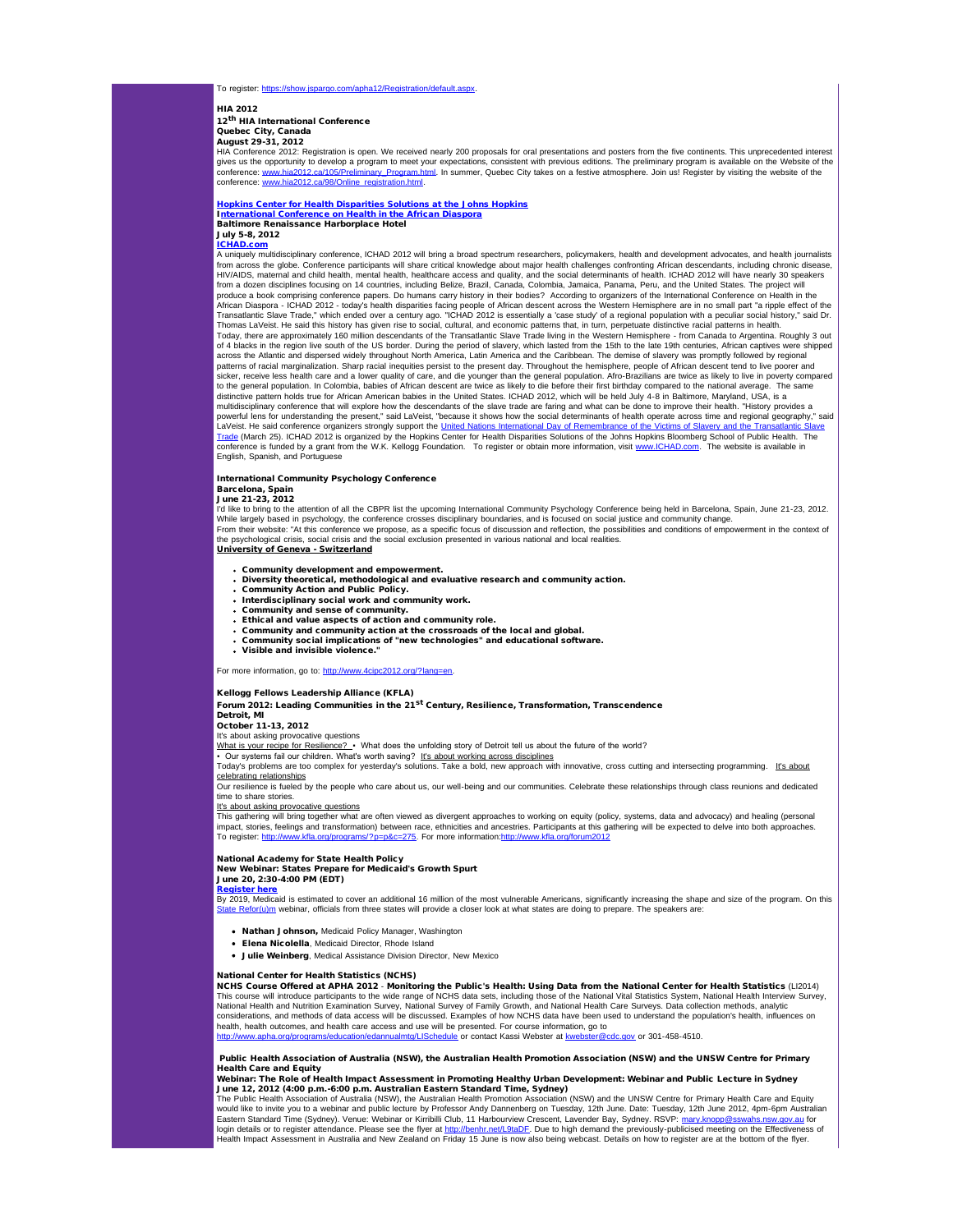To register: https://show.jspargo.com/apha12/Registration/default.

# HIA 2012

12<sup>th</sup> HIA International Conference Quebec City, Canada

August 29-31, 2012

HIA Conference 2012: Registration is open. We received nearly 200 proposals for oral presentations and posters from the five continents. This unprecedented interest<br>gives us the opportunity to develop a program to meet you conference: <u>www.hia2012.ca/105/Preliminary\_Program.html</u>. In summer, Quebec City takes on a festive atmosphere. Join us! Register by visiting the website of the<br>conference: <u>www.hia2012.ca/98/Online\_registration.html</u>.

# [Hopkins Center for Health Disparities Solutions at the Johns Hopkins](http://r20.rs6.net/tn.jsp?e=001ta6zu6pY3fL7ZMsaPq9gvGDHpMOiVbM-OWphiQTIad-qBPL3N4Fkg5SfsvqjIBvvnKsMEI9h6WkxF3zAe2wEPYXGVlZVWtKmbXEAIgqRdjXIuJBRTb918qA1fnHXcVT1jPBTWf5FLbQ=) I[nternational Conference on Health in the African Diaspora](http://r20.rs6.net/tn.jsp?e=001ta6zu6pY3fKfVb1ZwIidIHCwgV5Q5WhjPvPzid3bpZ891nmPJSIHDrUaFKentn9M0oDAIrKHI75d-zXRol2IuXwC_LHy3qPn4RAm4RpxVvU=) Baltimore Renaissance Harborplace Hotel **July 5-8, 2012**

<mark>[ICHAD.com](http://r20.rs6.net/tn.jsp?e=001ta6zu6pY3fKRd-lIaCOTu5TYzEH7Xnt1gJIFTnqUmNNFEyA5zZTLjfke9jYVzkz8PJoaAHL6tmuYMfcImgU_ZnhvYja-jne1)</mark><br>A uniquely multidisciplinary conference, ICHAD 2012 will bring a broad spectrum researchers, policymakers, health and development advocates, and health journalists from across the globe. Conference participants will share critical knowledge about major health challenges confronting African descendants, including chronic disease,<br>HIV/AIDS, maternal and child health, mental health, hea from a dozen disciplines focusing on 14 countries, including Belize, Brazil, Canada, Colombia, Jamaica, Panama, Peru, and the United States. The project will produce a book comprising conference papers. Do humans carry history in their bodies? According to organizers of the International Conference on Health in the<br>African Diaspora - ICHAD 2012 - today's health disparities faci Transatlantic Slave Trade," which ended over a century ago. "ICHAD 2012 is essentially a 'case study' of a regional population with a peculiar social history," said Dr. Thomas LaVeist. He said this history has given rise to social, cultural, and economic patterns that, in turn, perpetuate distinctive racial patterns in health. Today, there are approximately 160 million descendants of the Transatlantic Slave Trade living in the Western Hemisphere - from Canada to Argentina. Roughly 3 out of 4 blacks in the region live south of the US border. During the period of slavery, which lasted from the 15th to the late 19th centuries, African captives were shipped across the Atlantic and dispersed widely throughout North America, Latin America and the Caribbean. The demise of slavery was promptly followed by regional<br>patterns of racial marginalization. Sharp racial inequities persis sicker, receive less health care and a lower quality of care, and die younger than the general population. Afro-Brazilians are twice as likely to live in poverty compared<br>to the general population. In Colombia, babies of A multidisciplinary conference that will explore how the descendants of the slave trade are faring and what can be done to improve their health. "History provides a<br>powerful lens for understanding the present," said LaVeist, LaVeist. He said conference organizers strongly support the <u>United Nations International Day of Remembrance of the Victims of Slavery and the Transatlantic Slave<br><u>[Trade](http://r20.rs6.net/tn.jsp?e=001ta6zu6pY3fJ0gmgX0TvW362Kx6PGXtcLqIbknwU7WmijPIo8ivnmC7OvPduf68neCClo7d314M8wj0HfLc4Nf__YcSj5R2FsjtfCqDmuEvzF0rADzhmLig6_pVOS5verwScKEKq9RCdBPDoEpdkLHw==)</u> (March 25). ICHAD 2012 is organized by the Hopkins </u> conference is funded by a grant from the W.K. Kellogg Foundation. To register or obtain more information, visit [www.ICHAD.com](http://r20.rs6.net/tn.jsp?e=001ta6zu6pY3fIfTijesKsE6I_K3nNPJTeSPsbCfvzJmWvIh7k90Ob-TfT3LCO4yIDlrgi8IR6nLqLVBXBCE67v_stiiHAraobOpV2dMXLGQ_w=). The website is available in English, Spanish, and Portuguese

# International Community Psychology Conference Barcelona, Spain June 21-23, 2012

I'd like to bring to the attention of all the CBPR list the upcoming International Community Psychology Conference being held in Barcelona, Spain, June 21-23, 2012. While largely based in psychology, the conference crosses disciplinary boundaries, and is focused on social justice and community change.<br>From their website: "At this conference we propose, as a specific focus of discussio the psychological crisis, social crisis and the social exclusion presented in various national and local realities. University of Geneva - Switzerland

Community development and empowerment.

- Diversity theoretical, methodological and evaluative research and community action.
- Community Action and Public Policy.
- Interdisciplinary social work and community work.
- Community and sense of community. Ethical and value aspects of action and community role.
- 
- Community and community action at the crossroads of the local and global.
- Community social implications of "new technologies" and educational software. Visible and invisible violence."
- 

# For more information, go to: [http://www.4cipc2012.org/?lang=en.](http://r20.rs6.net/tn.jsp?e=001ta6zu6pY3fLfsCHP3LPjNeOtY1FWdmnVYT-jC9rA8QsswYgyVpbzws-48ob5QsG7Vq2E63gZ3Be5WCH65NWHCWM_6ng39P9yEGoBWAUrSHG9jx8Ex-t9qb7TvoLZGfVv)

# Kellogg Fellows Leadership Alliance (KFLA)

Forum 2012: Leading Communities in the 21<sup>st</sup> Century, Resilience, Transformation, Transcendence

#### Detroit, MI October 11-13, 2012

It's about asking provocative questions

What is your recipe for Resilience? · What does the unfolding story of Detroit tell us about the future of the world?

# Our systems fail our children. What's worth saving? It's about working across disciplines

Today's problems are too complex for yesterday's solutions. Take a bold, new approach with innovative, cross cutting and intersecting programming. It's about celebrating relationships

Our resilience is fueled by the people who care about us, our well-being and our communities. Celebrate these relationships through class reunions and dedicated time to share stories.

It's about asking provocative questions

This gathering will bring together what are often viewed as divergent approaches to working on equity (policy, systems, data and advocacy) and healing (personal<br>impact, stories, feelings and transformation) between race, e To register: [http://www.kfla.org/programs/?p=p&c=275](http://r20.rs6.net/tn.jsp?e=001ta6zu6pY3fLaDVVUhbBaE9C4cyCAOPUXZwSwQUyUJrRNYfaXMs2MPkCHgokKNRuLRMTc8CFPjnj7_Mokc4vJuyWYkAonjuwLHQRKhoPP3Mee3qhIXSOEpR-J6ny1Sgnz3dxeLc9EF6qdrThigUSUlg==). For more information:http://www.kfla.org/forum201

National Academy for State Health Policy New Webinar: States Prepare for Medicaid's Growth Spurt June 20, 2:30-4:00 PM (EDT)

[Register here](http://r20.rs6.net/tn.jsp?e=001ta6zu6pY3fIrCYen6TUZV74eg4hF77uSK2bV9nbhIZQPQ930guIGxgRcB3GhbWxPCUr-ky0J24xbaqA06pEr_VzAG-oXHMC3IKpHv-9SlRX8P4fhekajSc4mjJm-z-TblIaKh1cJdlRArj40NouGYnhd3lIKNTu6TcBaL-3oUyTj9DUW8pGbUNJV4D6edSf5cFg_eH1flogsVVv2HLlaz_rAYnyUrL4JLMEioLqfbvsjaxmiiOcIzPlrF6uJRPD-6P9d9iL8T8iOCwmgnYeTwOV3_6EHzJBE)

By 2019, Medicaid is estimated to cover an additional 16 million of the most vulnerable Americans, significantly increasing the shape and size of the program. On this tate Refor(u)m webinar, officials from three states will provide a closer look at what states are doing to prepare. The speakers are:

- Nathan Johnson, Medicaid Policy Manager, Washington
- Elena Nicolella, Medicaid Director, Rhode Island
- Julie Weinberg, Medical Assistance Division Director, New Mexico

### National Center for Health Statistics (NCHS)

NCHS Course Offered at APHA 2012 - Monitoring the Public's Health: Using Data from the National Center for Health Statistics (LI2014) This course will introduce participants to the wide range of NCHS data sets, including those of the National Vital Statistics System, National Health Interview Survey,<br>National Health and Nutrition Examination Survey, Nati considerations, and methods of data access will be discussed. Examples of how NCHS data have been used to understand the population's health, influences on health, health outcomes, and health care access and use will be presented. For course information, go to<br>http://www.apha.org/programs/education/edannualmtg/LISchedule or contact Kassi Webster at kwebster@cdc.gov or 301-458 http://www.apha.org/programs/edannualmtg/LISchedule or contact Kassi Webster at kweb

# Public Health Association of Australia (NSW), the Australian Health Promotion Association (NSW) and the UNSW Centre for Primary Health Care and Equity Webinar: The Role of Health Impact Assessment in Promoting Healthy Urban Development: Webinar and Public Lecture in Sydney

**June 12, 2012 (4:00 p.m.-6:00 p.m. Australian Eastern Standard Time, Sydney)**<br>The Public Health Association of Australia (NSW), the Australian Health Promotion Association (NSW) and the UNSW Centre for Primary Health Care

would like to invite you to a webinar and public lecture by Professor Andy Dannenberg on Tuesday, 12th June. Date: Tuesday, 12th June 2012, 4pm-6pm Australian Eastern Standard Time (Sydney). Venue: Webinar or Kirribilli Club, 11 Harbourview Crescent, Lavender Bay, Sydney. RSVP: <u>mary knopp@sswahs.nsw.gov.au</u> for<br>login details or to register attendance. Please see the flyer at <u>h</u> Health Impact Assessment in Australia and New Zealand on Friday 15 June is now also being webcast. Details on how to register are at the bottom of the flyer.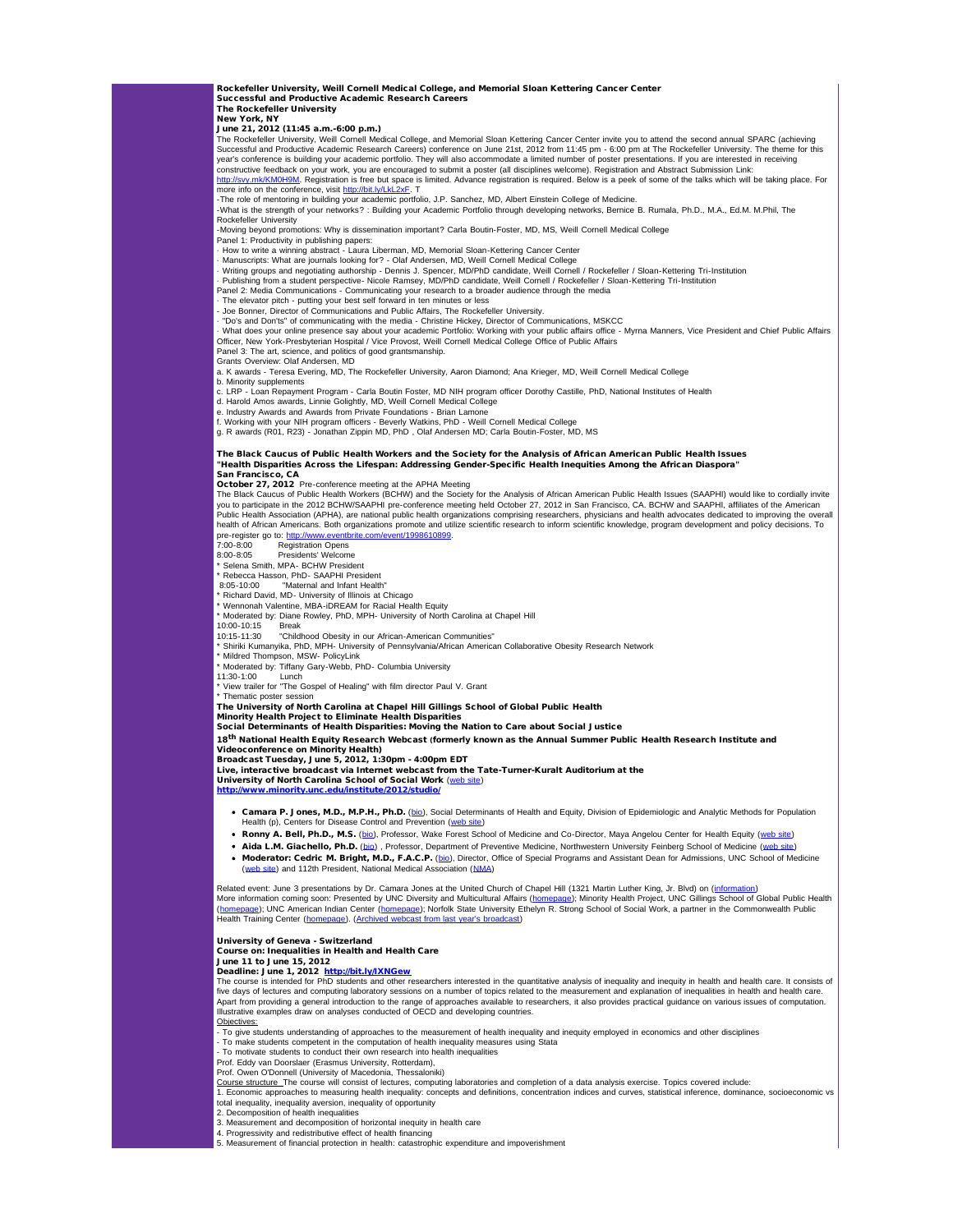Rockefeller University, Weill Cornell Medical College, and Memorial Sloan Kettering Cancer Center Successful and Productive Academic Research Careers

The Rockefeller University

New York, NY June 21, 2012 (11:45 a.m.-6:00 p.m.)

The Rockefeller University, Weill Cornell Medical College, and Memorial Sloan Kettering Cancer Center invite you to attend the second annual SPARC (achieving Successful and Productive Academic Research Careers) conference on June 21st, 2012 from 11:45 pm - 6:00 pm at The Rockefeller University. The theme for this<br>year's conference is building your academic portfolio. They will

<u>[http://svy.mk/KM0H9M](http://r20.rs6.net/tn.jsp?e=001ta6zu6pY3fKVVU4bXUXzHeLuH6006aGGyPp2mWNpozy_X7dOEzVjv3H_OX5ms0nKPDeY7JEf7DK-u_NRShsbOLrdCVO195c7vbWB8zF9Xf8=)</u>. Registration is free but space is limited. Advance registration is required. Below is a peek of some of the talks which will be taking place. For<br>more info on the conference, visit <u>http://bit.ly/Lk</u>

-The role of mentoring in building your academic portfolio, J.P. Sanchez, MD, Albert Einstein College of Medicine.<br>-What is the strength of your networks? : Building your Academic Portfolio through developing networks, Ber Rockefeller University

-Moving beyond promotions: Why is dissemination important? Carla Boutin-Foster, MD, MS, Weill Cornell Medical College

Panel 1: Productivity in publishing papers: · How to write a winning abstract - Laura Liberman, MD, Memorial Sloan-Kettering Cancer Center

- Manuscripts: What are journals looking for? - Olaf Andersen, MD, Weill Cornell Medical College<br>- Writing groups and negotiating authorship - Dennis J. Spencer, MD/PhD candidate, Weill Cornell / Rockefeller / Sloan-Kette

Panel 2: Media Communications - Communicating your research to a broader audience through the media · The elevator pitch - putting your best self forward in ten minutes or less

- The elevator plicit - patting your boot our terms in the timestand Public Affairs, The Rockefeller University.

· "Do's and Don'ts" of communicating with the media - Christine Hickey, Director of Communications, MSKCC

• What does your online presence say about your academic Portfolio: Working with your public affairs office - Myrna Manners, Vice President and Chief Public Affairs<br>Officer, New York-Presbyterian Hospital / Vice Provost, W

Panel 3: The art, science, and politics of good grantsmanship. Grants Overview: Olaf Andersen, MD

a. K awards - Teresa Evering, MD, The Rockefeller University, Aaron Diamond; Ana Krieger, MD, Weill Cornell Medical College

b. Minority supplements c. LRP - Loan Repayment Program - Carla Boutin Foster, MD NIH program officer Dorothy Castille, PhD, National Institutes of Health

d. Harold Amos awards, Linnie Golightly, MD, Weill Cornell Medical College

e. Industry Awards and Awards from Private Foundations - Brian Lamone<br>f. Working with your NIH program officers - Beverly Watkins, PhD - Weill Cornell Medical College<br>g. R awards (R01, R23) - Jonathan Zippin MD, PhD , Olaf

# The Black Caucus of Public Health Workers and the Society for the Analysis of African American Public Health Issues<br>"Health Disparities Across the Lifespan: Addressing Gender-Specific Health Inequities Among the African Di

October 27, 2012 Pre-conference meeting at the APHA Meeting

The Black Caucus of Public Health Workers (BCHW) and the Society for the Analysis of African American Public Health Issues (SAAPHI) would like to cordially invite you to participate in the 2012 BCHW/SAAPHI pre-conference meeting held October 27, 2012 in San Francisco, CA. BCHW and SAAPHI, affiliates of the American Public Health Association (APHA), are national public health organizations comprising researchers, physicians and health advocates dedicated to improving the overall health of African Americans. Both organizations promote and utilize scientific research to inform scientific knowledge, program development and policy decisions. To pre-register go to: http://www.<br>7:00-8:00 Registration

7:00-8:00 Registration Opens<br>8:00-8:05 Presidents' Welcom Presidents' Welcome

Selena Smith, MPA- BCHW President

\* Rebecca Hasson, PhD- SAAPHI President

8:05-10:00 "Maternal and Infant Health" \* Richard David, MD- University of Illinois at Chicago

Wennonah Valentine, MBA-iDREAM for Racial Health Equity

\* Moderated by: Diane Rowley, PhD, MPH- University of North Carolina at Chapel Hill

10:00-10:15 Break 10:15-11:30 "Childhood Obesity in our African-American Communities" \* Shiriki Kumanyika, PhD, MPH- University of Pennsylvania/African American Collaborative Obesity Research Network

\* Mildred Thompson, MSW- PolicyLink

\* Moderated by: Tiffany Gary-Webb, PhD- Columbia University

11:30-1:00 Lunch<br>\* View trailer for "The Gospel of Healing" with film director Paul V. Grant

\* Thematic poster session

The University of North Carolina at Chapel Hill Gillings School of Global Public Health

Minority Health Project to Eliminate Health Disparities Social Determinants of Health Disparities: Moving the Nation to Care about Social Justice

18<sup>th</sup> National Health Equity Research Webcast (formerly known as the Annual Summer Public Health Research Institute and

Videoconference on Minority Health) Broadcast Tuesday, June 5, 2012, 1:30pm - 4:00pm EDT

Live, interactive broadcast via Internet webcast from the Tate-Turner-Kuralt Auditorium at the<br>University of North Carolina School of Social Work (<u>[web site](http://r20.rs6.net/tn.jsp?e=001ta6zu6pY3fJF11L6qso35bY185wqk48ztMOnpXSX7MGiqtbbLy5O_EIsTT6YnTYGsfafJMFsGehrCQyTZcpaoUyEMxF45XHC))</u>

[http://www.minority.unc.edu/institute/2012/studio/](http://r20.rs6.net/tn.jsp?e=001ta6zu6pY3fK4SZVR6hRB56fOoiaWmAUIcxELTn5w_RmVHUQ8ytqOW-JuqfbqeDECMRU3jtS3XqaSb9Ve31jAvk0HtTbWNEaIW7DKHudz01X4X0JWpuXwTjieNIZYgMEtD-_ewuElUjm7kMOBlQMNQQ==)

- **Camara P. Jones, M.D., M.P.H., Ph.D.** [\(bio](http://r20.rs6.net/tn.jsp?e=001ta6zu6pY3fJCakXxt6i2l4m54JgR3gS5UEXbzq6Otg6WTM1co3cv-T1w2PLQVkCGulXpOOyztABx2GHyFKonjvoen3WbSwg7nNZ0kL-DDx6HubfKAI__Zzk1eqjc8V4GrJSfW5PtF_NoUd9LIIdMr8Z5eh3X3sQOx-Qf6v6tgMinrzOCg5DLAg==)), Social Determinants of Health and Equity, Division of Epidemiologic and Analytic Methods for Population<br>Health (p), Centers for Disease Control and Prevention (<u>web site</u>)
- . Ronny A. Bell, Ph.D., M.S. ([bio](http://r20.rs6.net/tn.jsp?e=001ta6zu6pY3fJ9ZQUIhCB7jgIEzCf2YODQ2iaEGMAmNqzF07ytprZdK8e7uwLHpvzZtv_9vcQe2Df2huexniJOHVwXBMdgINeUI4tXMG48bDSVxY_AfGfkW4MXDY9UXYE53CBbe5L6G6PIV2F4jWDnDZQyI6HnVTvod3qwm-C2AU0=)), Professor, Wake Forest School of Medicine and Co-Director, Maya Angelou Center for Health Equity ([web site\)](http://r20.rs6.net/tn.jsp?e=001ta6zu6pY3fIXC1uQNGmQEzLFMfMmuj1aQaf9TtjCQQ55Oew6uVneLMJYacLEAqQfbx8XLOgDZAYzUFNs70UFqVqYv1lPRMUhowlknj8rc2KnA89SYuBtlE_u7CokBMwx)
- . Aida L.M. Giachello, Ph.D. ([bio\)](http://r20.rs6.net/tn.jsp?e=001ta6zu6pY3fIRja7wPaK1O8Iskvgpcx_PHbjlEWwwzrUzF-xSc9QA4LZRUoenpwdngMqMEbuL4i3v4GVFBrlO4jlY70wN0QFfIQAhuMQuA2uDK9Vb0ZcJLeOa0s3ZRlVW) , Professor, Department of Preventive Medicine, Northwestern University Feinberg School of Medicine [\(web site](http://r20.rs6.net/tn.jsp?e=001ta6zu6pY3fJK25RYJsbcRvWnGQyTYAijI2UWB5er1m3JGMC37IJ6s6UfbQZ7CroxpMBM49yxZt_jFCwzC8jha08B-kragbG8MLVKQ-aE2WBVL5xrloeb7Q==) • Moderator: Cedric M. Bright, M.D., F.A.C.P. ([bio](http://r20.rs6.net/tn.jsp?e=001ta6zu6pY3fK3MrBnr3H4eL41N7opiY-N0PTf7CVY-WICBxinA5DWs0SJHHwzq4T4x36-rJC67UuDqGFrWRteizLW0NnX-yNtCVeVzY0DwvbYgyHDgSOKg7jb5nTI0yybWM0p8ZnImEwN_M8V8309Bu1HSSrteMzsAmiWpFBEDMOezGZYrcFNmsK52qQV5MhnJcLe2W0Sj1vV8BxgZqR34AndiChfV8U8Sb4O3XNyh88dQ9Zf2FOxAI5NtzR8jWK2)), Director, Office of Special Programs and Assistant Dean for Admissions, UNC School of Medicine ([web site\)](http://r20.rs6.net/tn.jsp?e=001ta6zu6pY3fK1VP9MIRUrijnL2W8K7scM9MYRRRt_BPlZlGNsL_Dfyyn-r2zWUsNVeI3Ila7hphW3dFgyhbDm7m_YgUg-kevC_nQxfmzUnUU=) and 112th President, National Medical Association ([NMA\)](http://r20.rs6.net/tn.jsp?e=001ta6zu6pY3fKWmWdLRtXymzPPsO8EjZ5GxMUjkRTcrpZmQisUuA-ugKlpvAHMyz8JG9_r9NlyAce8bhzxKAUYWupxEE-LsQA37t9R3pO6KOw=)

Related event: June 3 presentations by Dr. Camara Jones at the United Church of Chapel Hill (1321 Martin Luther King, Jr. Blvd) on ([information](http://r20.rs6.net/tn.jsp?e=001ta6zu6pY3fJC8Oh6KEgy4I9U0ga_c9T-0EIC6KrlBHUAO_lmYBzi5Zb4zeeXlKJgnzSPxDVteCduuOfGwmntzpT5o4Z1Ez-tcyvGLy_Rc7wv42ty7ReU9EoqjnmIwU5Ix1zi7_b-qnrB3qi82_xeyg801fuTP2J6Io7Vos1a1mvRIlIPDtK_TDeV-7wOKzSB)) More information coming soon: Presented by UNC Diversity and Multicultural Affairs (<u>[homepage](http://r20.rs6.net/tn.jsp?e=001ta6zu6pY3fI5SRRpDsyEcIJntanXZ2eNjwE874MYjRI0WrqG-qXbN9972ZH_gf9tS0uAEgbnYrfMUehWo1KrsLIeNzZP9j21kVQeqnZscu2hHOmQpnL7fA==))</u>; Minority Health Project, UNC Gillings School of Global Public Health<br>(<u>homepage)</u>; UNC American Indian Center (<u>homepage);</u> N

# University of Geneva - Switzerland

Course on: Inequalities in Health and Health Care

June 11 to June 15, 2012 Deadline: June 1, 2012 [http://bit.ly/IXNGew](http://r20.rs6.net/tn.jsp?e=001ta6zu6pY3fI8sZxlaP4ZiRQrPHoP7cAQbPqe6ySEItDLdgEwl5QZSDKYW1DMYh72ybYkVPdMzLzi0Nbc4x0NqSwUOXps8UutUwciTt_Yurk=)

The course is intended for PhD students and other researchers interested in the quantitative analysis of inequality and inequity in health and health care. It consists of five days of lectures and computing laboratory sessions on a number of topics related to the measurement and explanation of inequalities in health and health care. Apart from providing a general introduction to the range of approaches available to researchers, it also provides practical guidance on various issues of computation.

Illustrative examples draw on analyses conducted of OECD and developing countries.

<u>Objectives:</u><br>- To give students understanding of approaches to the measurement of health inequality and inequity employed in economics and other disciplines

- To make students competent in the computation of health inequality measures using Stata - To motivate students to conduct their own research into health inequalities

Prof. Eddy van Doorslaer (Erasmus University, Rotterdam),

Prof. Owen O'Donnell (University of Macedonia, Thessaloniki)

Course structure The course will consist of lectures, computing laboratories and completion of a data analysis exercise. Topics covered include:

1. Economic approaches to measuring health inequality: concepts and definitions, concentration indices and curves, statistical inference, dominance, socioeconomic vs total inequality, inequality aversion, inequality of opportunity 2. Decomposition of health inequalities

3. Measurement and decomposition of horizontal inequity in health care

4. Progressivity and redistributive effect of health financing 5. Measurement of financial protection in health: catastrophic expenditure and impoverishment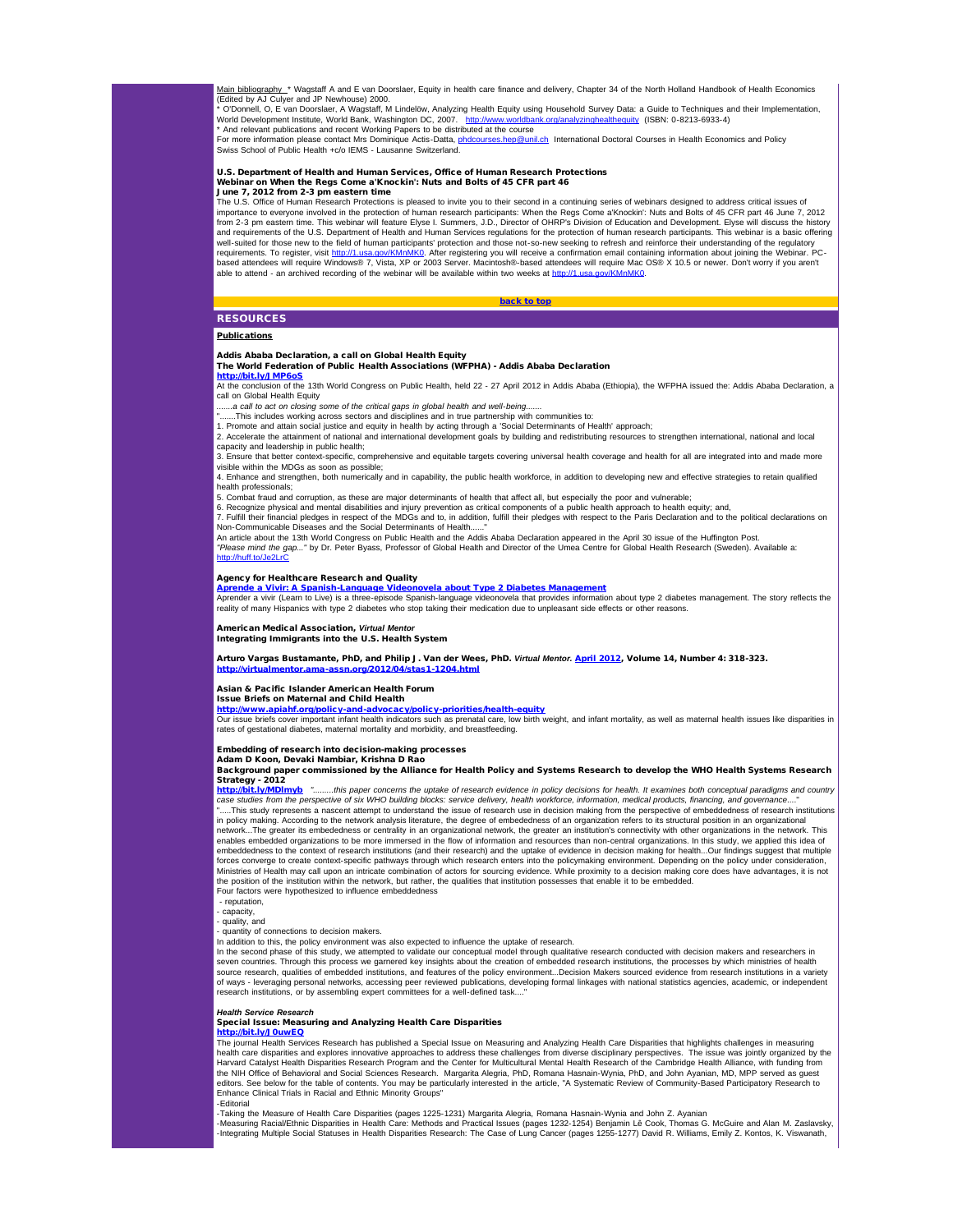Main bibliography\_\* Wagstaff A and E van Doorslaer, Equity in health care finance and delivery, Chapter 34 of the North Holland Handbook of Health Economics (Edited by AJ Culyer and JP Newhouse) 2000.

\* O'Donnell, O, E van Doorslaer, A Wagstaff, M Lindelöw, Analyzing Health Equity using Household Survey Data: a Guide to Techniques and their Implementation,<br>World Development Institute, World Bank, Washington DC, 2007.

<span id="page-7-0"></span>\* And relevant publications and recent Working Papers to be distributed at the course<br>For more information please contact Mrs Dominique Actis-Datta, <u>phdcourses.hep@unil.ch</u> International Doctoral Courses in Health Economi Swiss School of Public Health +c/o IEMS - Lausanne Switzerland.

# U.S. Department of Health and Human Services, Office of Human Research Protections Webinar on When the Regs Come a'Knockin': Nuts and Bolts of 45 CFR part 46 June 7, 2012 from 2-3 pm eastern time

The U.S. Office of Human Research Protections is pleased to invite you to their second in a continuing series of webinars designed to address critical issues of importance to everyone involved in the protection of human research participants: When the Regs Come a'Knockin': Nuts and Bolts of 45 CFR part 46 June 7, 2012<br>from 2-3 pm eastern time. This webinar will feature Elyse I. Su and requirements of the U.S. Department of Health and Human Services regulations for the protection of human research participants. This webinar is a basic offering<br>well-suited for those new to the field of human participa able to attend - an archived recording of the webinar will be available within two weeks at [http://1.usa.gov/KMnMK0](http://r20.rs6.net/tn.jsp?e=001ta6zu6pY3fLnVRJjbQB9NxxjQ4G0U6SMNXfAsuTFP8sb4VXG0BQXEf_Kl7X-7QpJVUV8atPP9v3-2QRxnanvJFdeLIvDmGxuGCBlbYv0Uzc=)

[back to top](#page-0-4)

# **RESOURCES**

Publications

# Addis Ababa Declaration, a call on Global Health Equity The World Federation of Public Health Associations (WFPHA) - Addis Ababa Declaration

<mark>[http://bit.ly/JMP6oS](http://r20.rs6.net/tn.jsp?e=001ta6zu6pY3fIRQNyBrkAlMOX-Nt9YLc8JyplrHCy2buNfdLrl21Xd_g8xvbqUqEth7sSPwdWPkw0rMTYmiK3M82Kgl2Gj540UOn7E4dY-xb4=)</mark><br>At the conclusion of the 13th World Congress on Public Health, held 22 - 27 April 2012 in Addis Ababa (Ethiopia), the WFPHA issued the: Addis Ababa Declaration, a call on Global Health Equity

*.......a call to act on closing some of the critical gaps in global health and well-being.......* ".......This includes working across sectors and disciplines and in true partnership with communities to:

1. Promote and attain social justice and equity in health by acting through a 'Social Determinants of Health' approach;

2. Accelerate the attainment of national and international development goals by building and redistributing resources to strengthen international, national and local capacity and leadership in public health;

3. Ensure that better context-specific, comprehensive and equitable targets covering universal health coverage and health for all are integrated into and made more

visible within the MDGs as soon as possible; well the note and strengthen, both numerically and in capability, the public health workforce, in addition to developing new and effective strategies to retain qualified health professionals;

5. Combat fraud and corruption, as these are major determinants of health that affect all, but especially the poor and vulnerable;

6. Recognize physical and mental disabilities and injury prevention as critical components of a public health approach to health equity; and, 7. Fulfill their financial pledges in respect of the MDGs and to, in addition, fulfill their pledges with respect to the Paris Declaration and to the political declarations on Non-Communicable Diseases and the Social Determinants of Health.

An article about the 13th World Congress on Public Health and the Addis Ababa Declaration appeared in the April 30 issue of the Huffington Post. *"Please mind the gap..."* by Dr. Peter Byass, Professor of Global Health and Director of the Umea Centre for Global Health Research (Sweden). Available a:  $H_n$ ://huff.to/Je2L

# Agency for Healthcare Research and Quality

<mark>[Aprende a Vivir: A Spanish-Language Videonovela about Type 2 Diabetes Management](http://r20.rs6.net/tn.jsp?e=001ta6zu6pY3fJUhOs-aqCiLnSrtbvEm45zSkOPOnnAm2rSw0x5JYi7_uph-iNUJ7TyQdmZTaKW8ikP9vC6Y5P-vmrzUfh2Z7CVXLfpiFa93XHvnUXTIHeXwubz7qGfv00B0ERCCQ2jBfo=)</mark><br>Aprender a vivir (Leam to Live) is a three-episode Spanish-language videonovela that provides information about type 2 diabetes management. reality of many Hispanics with type 2 diabetes who stop taking their medication due to unpleasant side effects or other reasons.

# **American Medical Association, Virtual Mento**

Integrating Immigrants into the U.S. Health System

### Arturo Vargas Bustamante, PhD, and Philip J. Van der Wees, PhD. *Virtual Mentor.* [April 2012,](http://r20.rs6.net/tn.jsp?e=001ta6zu6pY3fL-OdAsu77xO7u7-n5RMQIFjt680-Shrsrx7-5nqqBHN-89K2iATbTL5mJNbf0lWRtywFCjyQzVDNX59YAtnPxgOOgnrECw3CUYNpfoTrJjReWWV6t0qU9r6CmOdRtRWokNAtlcnZ_nm3PqD4YftTz1) Volume 14, Number 4: 318-323. [http://virtualmentor.ama-assn.org/2012/04/stas1-1204.html](http://r20.rs6.net/tn.jsp?e=001ta6zu6pY3fLNBZxze7hvFRhpmUkCj_FbDr4hCNJSdcZGigJKk8UeVVUcoHqeJs4FbZf3f1r6D-QzT48viCgxVajnlXlOTHpzEvI4CYvaN9DgbFglv6SKl4YJkTZb9HUpPgJjwklYNnWXLfFNmdIn50yBkuUr8gjs)

Asian & Pacific Islander American Health Forum

#### Issue Briefs on Maternal and Child Health

<u>[http://www.apiahf.org/policy-and-advocacy/policy-priorities/health-equity](http://r20.rs6.net/tn.jsp?e=001ta6zu6pY3fIx7XPVjYVHsGD4UReEg24eQEsl2k-uS-ToSty1H1Bg9wDib7feCacyOmimEzA6dAss0k8El4DDB4qKd_5yVojZi6-62HYxyT752VYjQ30KOV-798X1bFZyWQj-kNpRa14uZSmKmntltQWBDz3ZEUbvYGTpeoOCYcXUf_NKyCbt__OufV-JJiPs85jmN7FSHGo=)</u><br>Our issue briefs cover important infant health indicators such as prenatal care, low birth weight, and infant mortality, as well as maternal healt rates of gestational diabetes, maternal mortality and morbidity, and breastfeeding.

### Embedding of research into decision-making processes

Adam D Koon, Devaki Nambiar, Krishna D Rao

## Background paper commissioned by the Alliance for Health Policy and Systems Research to develop the WHO Health Systems Research Strategy - 2012

[http://bit.ly/MDlmyb](http://r20.rs6.net/tn.jsp?e=001ta6zu6pY3fJaQcZerdut6CDdvy7riR2tUdp16HzI0_n5ouUeN75-O_4ccUcF1pDu8i1Imolup7g5Ba_QMyzXPiw1f8ahs_0erJ4MVS5lvMI=) *".........this paper concerns the uptake of research evidence in policy decisions for health. It examines both conceptual paradigms and country* case studies from the perspective of six WHO building blocks: service delivery, health workforce, information, medical products, financing, and governance...."<br>".....This study represents a nascent attempt to understand th in policy making. According to the network analysis literature, the degree of embededness of an organization refers to its structural position in an organizational<br>network…The greater its embededness or centrality in an or enables embedded organizations to be more immersed in the flow of information and resources than non-central organizations. In this study, we applied this idea of embeddedness to the context of research institutions (and their research) and the uptake of evidence in decision making for health...Our findings suggest that multiple forces converge to create context-specific pathways through which research enters into the policymaking environment. Depending on the policy under consideration, Ministries of Health may call upon an intricate combination of actors for sourcing evidence. While proximity to a decision making core does have advantages, it is not the position of the institution within the network, but rather, the qualities that institution possesses that enable it to be embedded. Four factors were hypothesized to influence embeddedness

- reputation,

capacity,

- quality, and

quantity of connections to decision makers.

In addition to this, the policy environment was also expected to influence the uptake of research.

In the second phase of this study, we attempted to validate our conceptual model through qualitative research conducted with decision makers and researchers in seven countries. Through this process we garnered key insights about the creation of embedded research institutions, the processes by which ministries of health source research, qualities of embedded institutions, and features of the policy environment...Decision Makers sourced evidence from research institutions in a variety<br>of ways - leveraging personal networks, accessing peer research institutions, or by assembling expert committees for a well-defined task...

# *Health Service Research*

# Special Issue: Measuring and Analyzing Health Care Disparities

**[http://bit.ly/J0uwEQ](http://r20.rs6.net/tn.jsp?e=001ta6zu6pY3fLHTYHuCzmCl4RTdsIkWtTrxckCOGyfknYUXpBBavaAuZvYfnYRq4WOTBhXEG4fcp7HNxN8B2O-FqyvQNXo8Z_PAz1SLixkeFg=)**<br>The journal Health Services Research has published a Special Issue on Measuring and Analyzing Health Care Disparities that highlights challenges in measuring health care disparities and explores innovative approaches to address these challenges from diverse disciplinary perspectives. The issue was jointly organized by the Harvard Catalyst Health Disparities Research Program and the Center for Multicultural Mental Health Research of the Cambridge Health Alliance, with funding from<br>the NIH Office of Behavioral and Social Sciences Research. Ma editors. See below for the table of contents. You may be particularly interested in the article, "A Systematic Review of Community-Based Participatory Research to Enhance Clinical Trials in Racial and Ethnic Minority Groups" -Editorial

-Taking the Measure of Health Care Disparities (pages 1225-1231) Margarita Alegria, Romana Hasnain-Wynia and John Z. Ayanian

-Measuring Racial/Ethnic Disparities in Health Care: Methods and Practical Issues (pages 1232-1254) Benjamin Lê Cook, Thomas G. McGuire and Alan M. Zaslavsky,<br>-Integrating Multiple Social Statuses in Health Disparities Res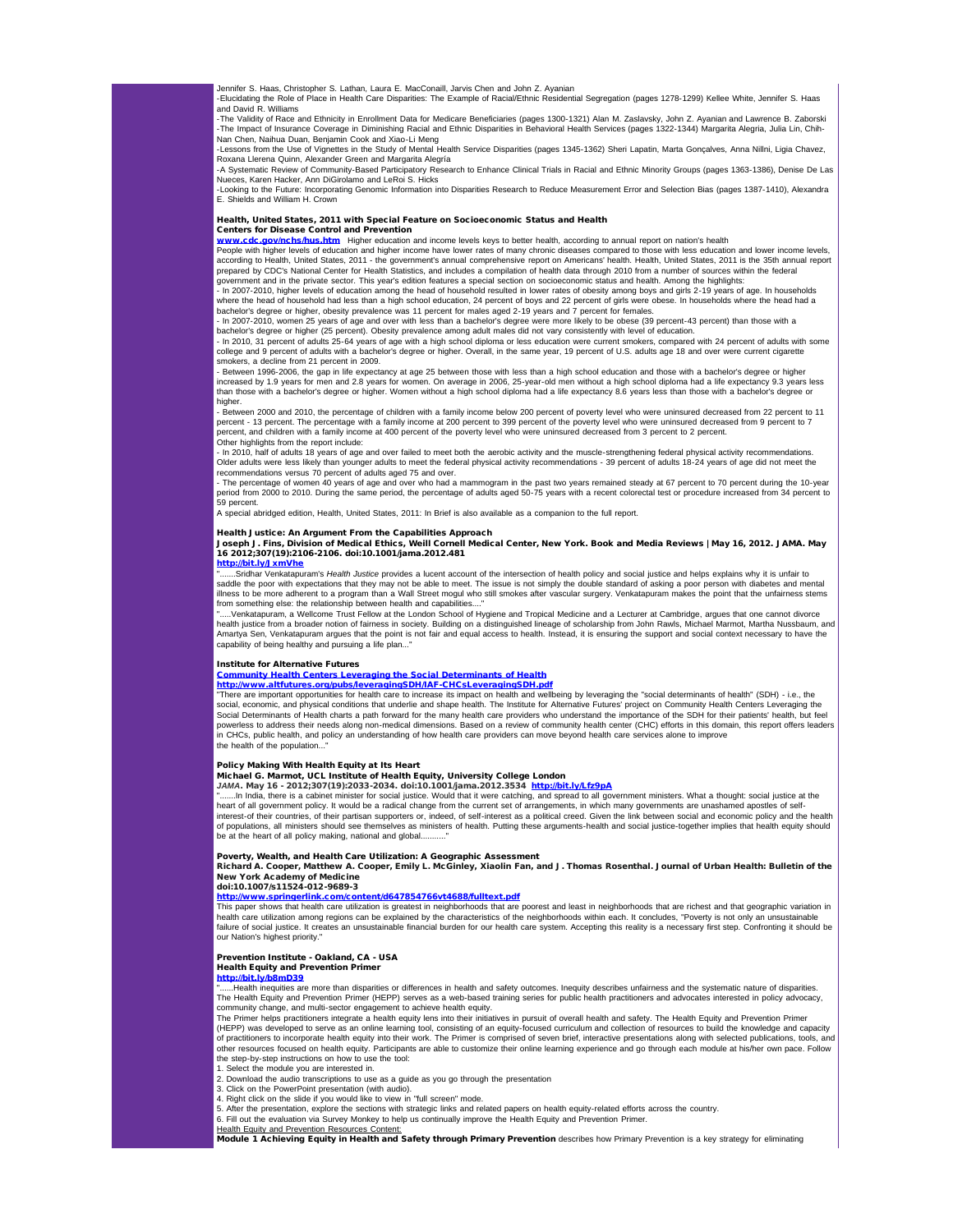Jennifer S. Haas, Christopher S. Lathan, Laura E. MacConaill, Jarvis Chen and John Z. Ayanian<br>-Elucidating the Role of Place in Health Care Disparities: The Example of Racial/Ethnic Residential Segregation (pages 1278-1299 -Elucidating the Role of Place in Health Care Disparities: The Example of Racial/Ethnic Residential Segregation (pages 1278-1299) Kellee White, Jennifer S. Haas and David R. Williams

-The Validity of Race and Ethnicity in Enrollment Data for Medicare Beneficiaries (pages 1300-1321) Alan M. Zaslavsky, John Z. Ayanian and Lawrence B. Zaborski<br>-The Impact of Insurance Coverage in Diminishing Racial and Et Nan Chen, Naihua Duan, Benjamin Cook and Xiao-Li Meng

-Lessons from the Use of Vignettes in the Study of Mental Health Service Disparities (pages 1345-1362) Sheri Lapatin, Marta Gonçalves, Anna Nillni, Ligia Chavez, Roxana Llerena Quinn, Alexander Green and Margarita Alegría<br>-A Systematic Review of Community-Based Participatory Research to Enhance Clinical Trials in Racial and Ethnic Minority Groups (pages 1363-1386), Denise De Las

Nueces, Karen Hacker, Ann DiGirolamo and LeRoi S. Hicks<br>-Looking to the Future: Incorporating Genomic Information into Disparities Research to Reduce Measurement Error and Selection Bias (pages 1387-1410), Alexandra E. Shields and William H. Crown

Health, United States, 2011 with Special Feature on Socioeconomic Status and Health

Centers for Disease Control and Prevention

[www.cdc.gov/nchs/hus.htm](http://r20.rs6.net/tn.jsp?e=001ta6zu6pY3fLX_RizZ-QgWfUaG2Xh_TeeGi2SQ8UJQXTlQhJBXM6rF-7Bq5zBJruQbuTi_mmB4WvdnQ8myG7BjJSA8q_QIyOqc0sNZAd481jl7EX4ysSmfZfQbX-4ejj-) Higher education and income levels keys to better health, according to annual report on nation's health

People with higher levels of education and higher income have lower rates of many chronic diseases compared to those with less education and lower income levels according to Health, United States, 2011 - the government's annual comprehensive report on Americans' health. Health, United States, 2011 is the 35th annual report<br>prepared by CDC's National Center for Health Statistics, a government and in the private sector. This year's edition features a special section on socioeconomic status and health. Among the highlights:

- In 2007-2010, higher levels of education among the head of household resulted in lower rates of obesity among boys and girls 2-19 years of age. In households<br>where the head of household had less than a high school educat bachelor's degree or higher, obesity prevalence was 11 percent for males aged 2-19 years and 7 percent for females.

- In 2007-2010, women 25 years of age and over with less than a bachelor's degree were more likely to be obese (39 percent-43 percent) than those with a bachelor's degree or higher (25 percent). Obesity prevalence among adult males did not vary consistently with level of education.<br>- In 2010, 31 percent of adults 25-64 years of age with a high school diploma or less educat

college and 9 percent of adults with a bachelor's degree or higher. Overall, in the same year, 19 percent of U.S. adults age 18 and over were current cigarette shows a decline from 21 percent in 2009.

- Between 1996-2006, the gap in life expectancy at age 25 between those with less than a high school education and those with a bachelor's degree or higher increased by 1.9 years for men and 2.8 years for women. On average in 2006, 25-year-old men without a high school diploma had a life expectancy 9.3 years less<br>than those with a bachelor's degree or higher. Women without a higher.

- Between 2000 and 2010, the percentage of children with a family income below 200 percent of poverty level who were uninsured decreased from 22 percent to 11 percent - 13 percent. The percentage with a family income at 200 percent to 399 percent of the poverty level who were uninsured decreased from 9 percent to 7<br>percent, and children with a family income at 400 percent of the Other highlights from the report include:

- In 2010, half of adults 18 years of age and over failed to meet both the aerobic activity and the muscle-strengthening federal physical activity recommendations. Older adults were less likely than younger adults to meet the federal physical activity recommendations - 39 percent of adults 18-24 years of age did not meet the recommendations versus 70 percent of adults aged 75 and over.

- The percentage of women 40 years of age and over who had a mammogram in the past two years remained steady at 67 percent to 70 percent during the 10-year period from 2000 to 2010. During the same period, the percentage of adults aged 50-75 years with a recent colorectal test or procedure increased from 34 percent to 59 percent.

A special abridged edition, Health, United States, 2011: In Brief is also available as a companion to the full report.

Health Justice: An Argument From the Capabilities Approach Joseph J. Fins, Division of Medical Ethics, Weill Cornell Medical Center, New York. Book and Media Reviews | May 16, 2012. JAMA. May 16 2012;307(19):2106-2106. doi:10.1001/jama.2012.481

[http://bit.ly/JxmVhe](http://r20.rs6.net/tn.jsp?e=001ta6zu6pY3fLHYDZJ48N3HvrGkRwRsgQ5aoc6lJloa_H6Uc8Wk9yjunTqmnWon9U2K88pCM5pC8hKnBpGzVlgPSLscLR3B-A26RoTc--yoYc=)

".......Sridhar Venkatapuram's *Health Justice* provides a lucent account of the intersection of health policy and social justice and helps explains why it is unfair to<br>saddle the poor with expectations that they may not b illness to be more adherent to a program than a Wall Street mogul who still smokes after vascular surgery. Venkatapuram makes the point that the unfairness stems<br>from something else: the relationship between health and cap

....Venkatapuram, a Wellcome Trust Fellow at the London School of Hygiene and Tropical Medicine and a Lecturer at Cambridge, argues that one cannot divorce health justice from a broader notion of fairness in society. Building on a distinguished lineage of scholarship from John Rawls, Michael Marmot, Martha Nussbaum, and<br>Amartya Sen, Venkatapuram argues that the point is not f capability of being healthy and pursuing a life plan...'

# Institute for Alternative Futures

<mark>[Community Health Centers Leveraging the Social Determinants of Health](http://r20.rs6.net/tn.jsp?e=001ta6zu6pY3fI30yXEOhKTLDwLhbFrb_U1MFsVBawcShHxsmmGAiWG9XEkbgKdC6YLaxlbW-j_fRpg9OpZfW2LFsLSl-6FcV8W7wMjeK9bU1TLFhF7WaCuxPv9LycwcTgpxINYM3f8OHmvVl-QqBNPElRE3J8f1m9bUjaslVN-LJzvj7r-KxP1Yw==)</mark><br>[http://www.altfutures.org/pubs/leveragingSDH/IAF-CHCsLeveragingSDH.pdf](http://r20.rs6.net/tn.jsp?e=001ta6zu6pY3fI30yXEOhKTLDwLhbFrb_U1MFsVBawcShHxsmmGAiWG9XEkbgKdC6YLaxlbW-j_fRpg9OpZfW2LFsLSl-6FcV8W7wMjeK9bU1TLFhF7WaCuxPv9LycwcTgpxINYM3f8OHmvVl-QqBNPElRE3J8f1m9bUjaslVN-LJzvj7r-KxP1Yw==)<br>"There are important opportunities for health care to increase its impact on h social, economic, and physical conditions that underlie and shape health. The Institute for Alternative Futures' project on Community Health Centers Leveraging the<br>Social Determinants of Health charts a path forward for th powerless to address their needs along non-medical dimensions. Based on a review of community health center (CHC) efforts in this domain, this report offers leaders in CHCs, public health, and policy an understanding of how health care providers can move beyond health care services alone to improve the health of the population.

Policy Making With Health Equity at Its Heart<br>Michael G. Marmot, UCL Institute of Health Equity, University College London<br>*JAMA*. May 16 - 2012;307(19):2033-2034. doi:10.1001/jama.2012.3534 <u>[http://bit.ly/Lfz9pA](http://r20.rs6.net/tn.jsp?e=001ta6zu6pY3fI7GrCMorFk6fnquDPt6EufnFFgERy6YkbJSxpblwzUuALybl247B0NLOYimpDzamWRtekMYFtjHNAtNbGaG6gWAA_b5A2r_Ec=)</u>

".......In India, there is a cabinet minister for social justice. Would that it were catching, and spread to all government ministers. What a thought: social justice at the<br>heart of all government policy. It would be a rad interest-of their countries, of their partisan supporters or, indeed, of self-interest as a political creed. Given the link between social and economic policy and the health of populations, all ministers should see themselves as ministers of health. Putting these arguments-health and social justice-together implies that health equity should be at the heart of all policy making, national and global.

Poverty, Wealth, and Health Care Utilization: A Geographic Assessment Richard A. Cooper, Matthew A. Cooper, Emily L. McGinley, Xiaolin Fan, and J. Thomas Rosenthal. Journal of Urban Health: Bulletin of the New York Academy of Medicine

doi:10.1007/s11524-012-9689-3

# [http://www.springerlink.com/content/d647854766vt4688/fulltext.pdf](http://r20.rs6.net/tn.jsp?e=001ta6zu6pY3fI28i-pafLyqaZCwY2r5Lo4oKHvARMkaBtGo0uWbhDjZBsH5bzmdNML0grao3MNK8xd2oALz0eAsBNlT9-082_6FtByS_JGTiYuYvHZe24vxlQyP0iDyIBw66WAz8kOAzs6FtyhI_McbI_SzJiwzHAP1nm6H5JmJKg=)

**This paper shows that health care utilization is greatest in neighborhoods that are poorest and least in neighborhoods that are richest and that geographic variation in** health care utilization among regions can be explained by the characteristics of the neighborhoods within each. It concludes, "Poverty is not only an unsustainable failure of social justice. It creates an unsustainable financial burden for our health care system. Accepting this reality is a necessary first step. Confronting it should be our Nation's highest priority.

# Prevention Institute - Oakland, CA - USA

Health Equity and Prevention Primer hD39

....Health inequities are more than disparities or differences in health and safety outcomes. Inequity describes unfairness and the systematic nature of disparities. The Health Equity and Prevention Primer (HEPP) serves as a web-based training series for public health practitioners and advocates interested in policy advocacy,

community change, and multi-sector engagement to achieve health equity.<br>The Primer helps practitioners integrate a health equity lens into their initiatives in pursuit of overall health and safety. The Health Equity and Pr (HEPP) was developed to serve as an online learning tool, consisting of an equity-focused curriculum and collection of resources to build the knowledge and capacity<br>of practitioners to incorporate health equity into the in the step-by-step instructions on how to use the tool:

1. Select the module you are interested in.

2. Download the audio transcriptions to use as a guide as you go through the presentation

3. Click on the PowerPoint presentation (with audio).

4. Right click on the slide if you would like to view in "full screen" mode. 5. After the presentation, explore the sections with strategic links and related papers on health equity-related efforts across the country.

6. Fill out the evaluation via Survey Monkey to help us continually improve the Health Equity and Prevention Primer.<br><u>Health Equity and Prevention Resources Content:</u>

Module 1 Achieving Equity in Health and Safety through Primary Prevention describes how Primary Prevention is a key strategy for eliminating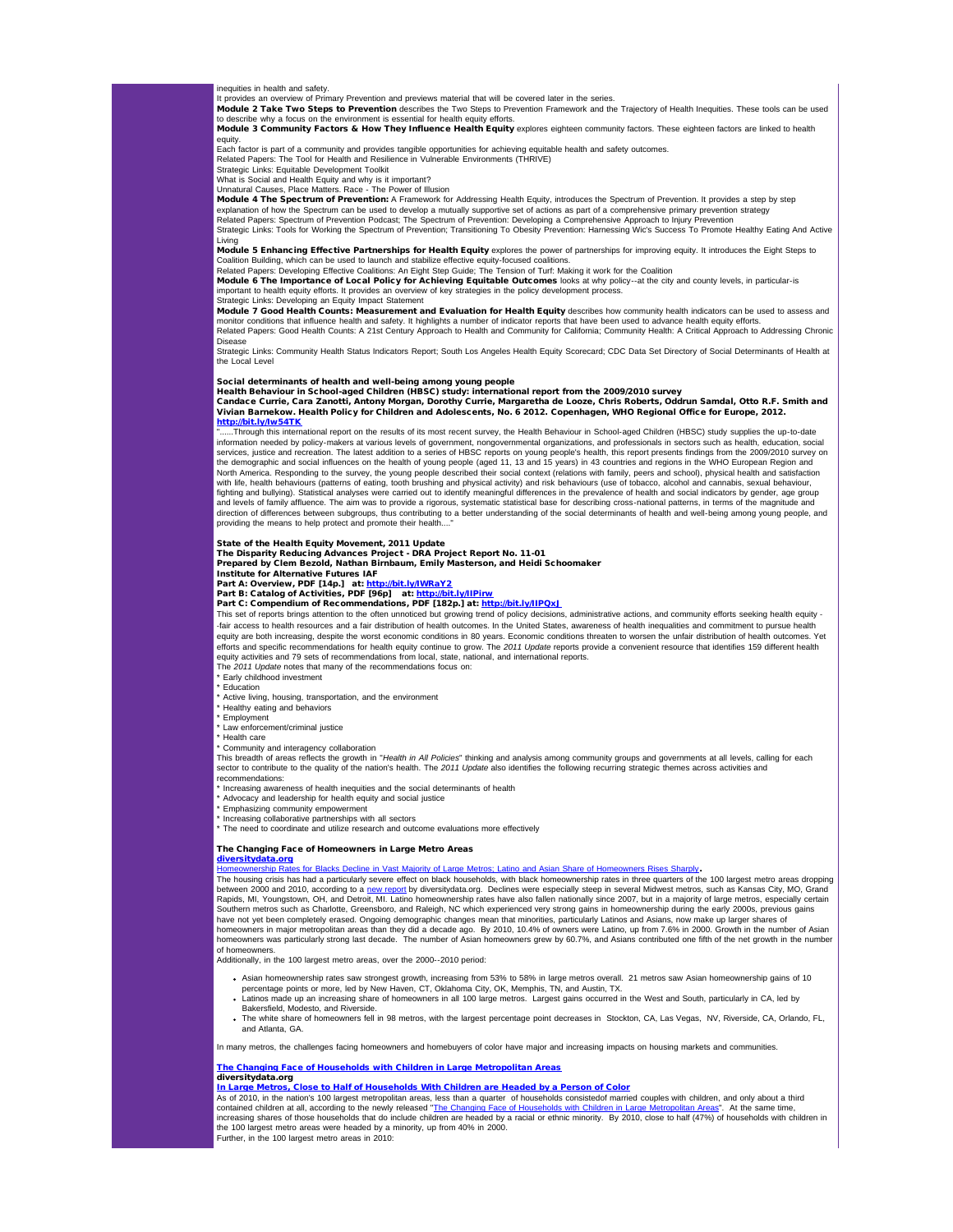inequities in health and safety. It provides an overview of Primary Prevention and previews material that will be covered later in the series.

Module 2 Take Two Steps to Prevention describes the Two Steps to Prevention Framework and the Trajectory of Health Inequities. These tools can be used to describe why a focus on the environment is essential for health equity efforts. Module 3 Community Factors & How They Influence Health Equity explores eighteen community factors. These eighteen factors are linked to health

equity.

Each factor is part of a community and provides tangible opportunities for achieving equitable health and safety outcomes.<br>Related Papers: The Tool for Health and Resilience in Vulnerable Environments (THRIVE)<br>Strategic Li

What is Social and Health Equity and why is it important? Unnatural Causes, Place Matters. Race - The Power of Illusion

**Module 4 The Spectrum of Prevention:** A Framework for Addressing Health Equity, introduces the Spectrum of Prevention. It provides a step by step<br>explanation of how the Spectrum can be used to develop a mutually supportiv Related Papers: Spectrum of Prevention Podcast; The Spectrum of Prevention: Developing a Comprehensive Approach to Injury Prevention Strategic Links: Tools for Working the Spectrum of Prevention; Transitioning To Obesity Prevention: Harnessing Wic's Success To Promote Healthy Eating And Active

Living Module 5 Enhancing Effective Partnerships for Health Equity explores the power of partnerships for improving equity. It introduces the Eight Steps to

Coalition Building, which can be used to launch and stabilize effective equity-focused coalitions.<br>Related Papers: Developing Effective Coalitions: An Eight Step Guide; The Tension of Turf. Making it work for the Coalition important to health equity efforts. It provides an overview of key strategies in the policy development process. Strategic Links: Developing an Equity Impact Statement

Module 7 Good Health Counts: Measurement and Evaluation for Health Equity describes how community health indicators can be used to assess and monitor conditions that influence health and safety. It highlights a number of indicator reports that have been used to advance health equity efforts.<br>Related Papers: Good Health Counts: A 21st Century Approach to Health a Disease

Strategic Links: Community Health Status Indicators Report; South Los Angeles Health Equity Scorecard; CDC Data Set Directory of Social Determinants of Health at the Local Level

Social determinants of health and well-being among young people Health Behaviour in School-aged Children (HBSC) study: international report from the 2009/2010 survey Candace Currie, Cara Zanotti, Antony Morgan, Dorothy Currie, Margaretha de Looze, Chris Roberts, Oddrun Samdal, Otto R.F. Smith and Vivian Barnekow. Health Policy for Children and Adolescents, No. 6 2012. Copenhagen, WHO Regional Office for Europe, 2012.

[http://bit.ly/Iw54TK](http://r20.rs6.net/tn.jsp?e=001ta6zu6pY3fLwpykuBKgfvAYtWvbkB2ybCcl8nuabNltvCCfh1krM5nxayCv7sJ9EZ4BdAtgiJRf5esPbrrkXrgzjRj21yDhL79MD9xYI5lA=)

.....Through this international report on the results of its most recent survey, the Health Behaviour in School-aged Children (HBSC) study supplies the up-to-date information needed by policy-makers at various levels of government, nongovernmental organizations, and professionals in sectors such as health, education, social<br>services, justice and recreation. The latest addition to a the demographic and social influences on the health of young people (aged 11, 13 and 15 years) in 43 countries and regions in the WHO European Region and<br>North America. Responding to the survey, the young people described with life, health behaviours (patterns of eating, tooth brushing and physical activity) and risk behaviours (use of tobacco, alcohol and cannabis, sexual behaviour, fighting and bullying). Statistical analyses were carried out to identify meaningful differences in the prevalence of health and social indicators by gender, age group and levels of family affluence. The aim was to provide a rigorous, systematic statistical base for describing cross-national patterns, in terms of the magnitude and<br>direction of differences between subgroups, thus contribu providing the means to help protect and promote their health....

# State of the Health Equity Movement, 2011 Update

The Disparity Reducing Advances Project - DRA Project Report No. 11-01 Prepared by Clem Bezold, Nathan Birnbaum, Emily Masterson, and Heidi Schoomaker

Institute for Alternative Futures IAF

Part A: Overview, PDF [14p.] at: [http://bit.ly/IWRaY2](http://r20.rs6.net/tn.jsp?e=001ta6zu6pY3fImqFCn6qlKY3jBTKw4AX5VkkmVqTaqLnoOtiOUJnjcFxQNj3F04K3nM5YTkjqO_wpaWOyAirKymImeZ7xY_6GXYYoNWRx6fmk=)

Part B: Catalog of Activities, PDF [96p] at: <u>[http://bit.ly/IIPirw](http://r20.rs6.net/tn.jsp?e=001ta6zu6pY3fLnGJW3qpefwtUTqWkDASoMsGvjWz7pdboWy0udp8EQ1z-ELSzAc7GA8X-yZJTa-ULjmJxXJ3xK7oqyCnNPzA9mewVk66pHmMs=)</u><br>Part C: Compendium of Recommendations, PDF [182p.] at: <u>http://bit.ly/IIPQxJ</u>

This set of reports brings attention to the often unnoticed but growing trend of policy decisions, administrative actions, and community efforts seeking health equity - -fair access to health resources and a fair distribution of health outcomes. In the United States, awareness of health inequalities and commitment to pursue health equity are both increasing, despite the worst economic conditions in 80 years. Economic conditions threaten to worsen the unfair distribution of health outcomes. Yet<br>efforts and specific recommendations for health equity c equity activities and 79 sets of recommendations from local, state, national, and international reports.

The *2011 Update* notes that many of the recommendations focus on: \*\*\* Early childhood investment

**Education** 

Active living, housing, transportation, and the environment

Healthy eating and behaviors

\* Employment \* Law enforcement/criminal justice

\* Health care

Community and interagency collaboration

This breadth of areas reflects the growth in "*Health in All Policies*" thinking and analysis among community groups and governments at all levels, calling for each sector to contribute to the quality of the nation's health. The *2011 Update* also identifies the following recurring strategic themes across activities and recommendations:

Increasing awareness of health inequities and the social determinants of health

Advocacy and leadership for health equity and social justice

Emphasizing community empowerment

Increasing collaborative partnerships with all sectors

\* The need to coordinate and utilize research and outcome evaluations more effectively

The Changing Face of Homeowners in Large Metro Areas

# <mark>[diversitydata.org](http://r20.rs6.net/tn.jsp?e=001lqL0f-GoKwAdkdxFDm75VwWZXQQy3OevFJIXzomxXHjgftm6xS-Sbyp9bojmmHZogFFsD60uHdOkvaXM_8uIcmQXwihmVgxOIkCosVtko1YRi14q0A0TxLprcW6F9X1r)</mark><br>[Homeownership Rates for Blacks Decline in Vast Majority of Large Metros; Latino and Asian Share of Homeowners Rises Sharply](http://r20.rs6.net/tn.jsp?e=001lqL0f-GoKwAayaXTBB7MqD_LoygABYQo8eLTiW2UEU-IH6Y8dDk4UGfe9Y16mhXH5jddgzgNm1qt8tz84ybo9q9VbD5zXZuj40xBs7VpINxSJU_feht96UiXXf7tctHh6yjym98futGs5Ko-4DkBhls08XvQsffQR7NaFLJ3CImRVHwta6WmMUUH5rnvkfZ_).

The housing crisis has had a particularly severe effect on black households, with black homeownership rates in three quarters of the 100 largest metro areas dropping between 2000 and 2010, according to a <u>[new report](http://r20.rs6.net/tn.jsp?e=001lqL0f-GoKwAayaXTBB7MqD_LoygABYQo8eLTiW2UEU-IH6Y8dDk4UGfe9Y16mhXH5jddgzgNm1qt8tz84ybo9q9VbD5zXZuj40xBs7VpINxSJU_feht96UiXXf7tctHh6yjym98futGs5Ko-4DkBhls08XvQsffQR7NaFLJ3CImRVHwta6WmMUUH5rnvkfZ_)</u> by diversitydata.org. Declines were especially steep in several Midwest metros, such as Kansas City, MO, Grand<br>Rapids, MI, Youngstown, OH, and Detroit, MI. Latino homeowne Southern metros such as Charlotte, Greensboro, and Raleigh, NC which experienced very strong gains in homeownership during the early 2000s, previous gains have not yet been completely erased. Ongoing demographic changes mean that minorities, particularly Latinos and Asians, now make up larger shares of<br>homeowners in major metropolitan areas than they did a decade ago. By 201 homeowners was particularly strong last decade. The number of Asian homeowners grew by 60.7%, and Asians contributed one fifth of the net growth in the number

of homeowners. Additionally, in the 100 largest metro areas, over the 2000--2010 period:

- . Asian homeownership rates saw strongest growth, increasing from 53% to 58% in large metros overall. 21 metros saw Asian homeownership gains of 10 percentage points or more, led by New Haven, CT, Oklahoma City, OK, Memphis, TN, and Austin, TX.<br>Latinos made up an increasing share of homeowners in all 100 large metros. Largest gains occurred in the West and South, part
- Bakersfield, Modesto, and Riverside.
- The white share of homeowners fell in 98 metros, with the largest percentage point decreases in Stockton, CA, Las Vegas, NV, Riverside, CA, Orlando, FL, and Atlanta, GA.

In many metros, the challenges facing homeowners and homebuyers of color have major and increasing impacts on housing markets and communities

# [The Changing Face of Households with Children in Large Metropolitan Areas](http://r20.rs6.net/tn.jsp?e=001lqL0f-GoKwAyR_0_a1Is3oyX_KRn0MH_BdscAglriKro8bxpXBJ2-_JoPN2xoUrZ6tkwRcobTjYvivRSjzTkDZJ-Or40l5pD0qOzzt-G-jzwH0zfcDrAw1IRy__fyZv2HLajLtQKJ1g9RZhBx7IQcOn7IwldTlYpmaTc8_kSpeY0kJItD9k6C3TeM9Zpot5h2vHeiJBy4qc=)

## diversitydata.org

<mark>[In Large Metros, Close to Half of Households With Children are Headed by a Person of Color](http://r20.rs6.net/tn.jsp?e=001lqL0f-GoKwAyR_0_a1Is3oyX_KRn0MH_BdscAglriKro8bxpXBJ2-_JoPN2xoUrZ6tkwRcobTjYvivRSjzTkDZJ-Or40l5pD0qOzzt-G-jzwH0zfcDrAw1IRy__fyZv2HLajLtQKJ1g9RZhBx7IQcOn7IwldTlYpmaTc8_kSpeY0kJItD9k6C3TeM9Zpot5h2vHeiJBy4qc=)</mark><br>As of 2010, in the nation's 100 largest metropolitan areas, less than a quarter of households consistedof married couples with ch contained children at all, according to the newly released "[The Changing Face of Households with Children in Large Metropolitan Areas](http://r20.rs6.net/tn.jsp?e=001lqL0f-GoKwAyR_0_a1Is3oyX_KRn0MH_BdscAglriKro8bxpXBJ2-_JoPN2xoUrZ6tkwRcobTjYvivRSjzTkDZJ-Or40l5pD0qOzzt-G-jzwH0zfcDrAw1IRy__fyZv2HLajLtQKJ1g9RZhBx7IQcOn7IwldTlYpmaTc8_kSpeY0kJItD9k6C3TeM9Zpot5h2vHeiJBy4qc=)". At the same time increasing shares of those households that do include children are headed by a racial or ethnic minority. By 2010, close to half (47%) of households with children in the 100 largest metro areas were headed by a minority, up from 40% in 2000. Further, in the 100 largest metro areas in 2010: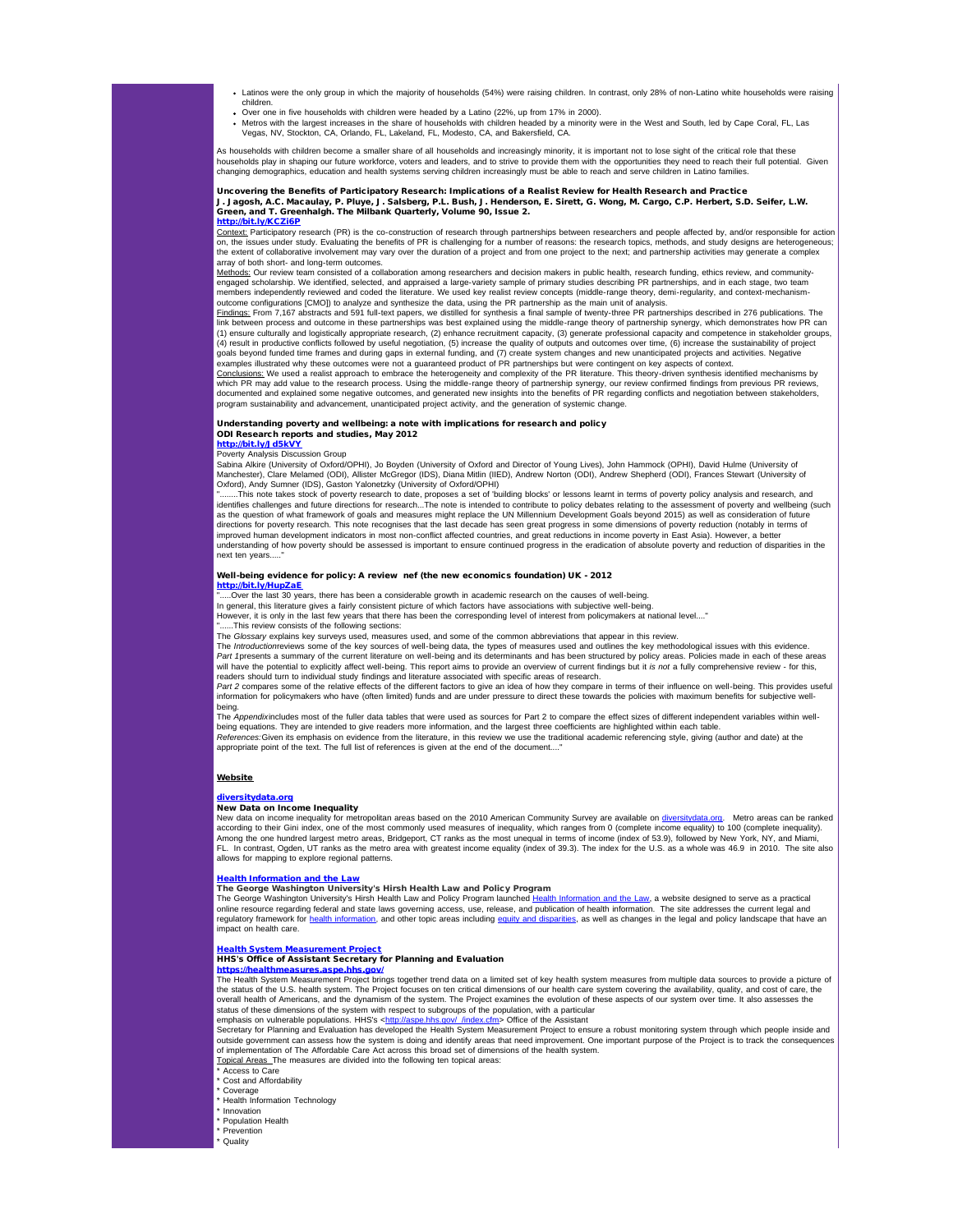- . Latinos were the only group in which the majority of households (54%) were raising children. In contrast, only 28% of non-Latino white households were raising children.
- Over one in five households with children were headed by a Latino (22%, up from 17% in 2000).
- Metros with the largest increases in the share of households with children headed by a minority were in the West and South, led by Cape Coral, FL, Las<br>Vegas, NV, Stockton, CA, Orlando, FL, Lakeland, FL, Modesto, CA, and Ba

As households with children become a smaller share of all households and increasingly minority, it is important not to lose sight of the critical role that these households play in shaping our future workforce, voters and leaders, and to strive to provide them with the opportunities they need to reach their full potential. Given changing demographics, education and health systems serving children increasingly must be able to reach and serve children in Latino families.

# Uncovering the Benefits of Participatory Research: Implications of a Realist Review for Health Research and Practice<br>J. Jagosh, A.C. Macaulay, P. Pluye, J. Salsberg, P.L. Bush, J. Henderson, E. Sirett, G. Wong, M. Cargo, C

<mark>[http://bit.ly/KCZi6P](http://r20.rs6.net/tn.jsp?t=47kgp4jab.0.6auop4jab.5gytkqcab.1&ts=S0777&p=http%3A%2F%2Fbit.ly%2FKCZi6P)</mark><br><u>Context:</u> Participatory research (PR) is the co-construction of research through partnerships between researchers and people affected by, and/or responsible for action on, the issues under study. Evaluating the benefits of PR is challenging for a number of reasons: the research topics, methods, and study designs are heterogeneous; the extent of collaborative involvement may vary over the duration of a project and from one project to the next; and partnership activities may generate a complex array of both short- and long-term outcomes.

Methods: Our review team consisted of a collaboration among researchers and decision makers in public health, research funding, ethics review, and communityengaged scholarship. We identified, selected, and appraised a large-variety sample of primary studies describing PR partnerships, and in each stage, two team<br>members independently reviewed and coded the literature. We used outcome configurations [CMO]) to analyze and synthesize the data, using the PR partnership as the main unit of analysis.

Findings: From 7,167 abstracts and 591 full-text papers, we distilled for synthesis a final sample of twenty-three PR partnerships described in 276 publications. The link between process and outcome in these partnerships was best explained using the middle-range theory of partnership synergy, which demonstrates how PR can<br>(1) ensure culturally and logistically appropriate research, (2) (4) result in productive conflicts followed by useful negotiation, (5) increase the quality of outputs and outcomes over time, (6) increase the sustainability of project<br>goals beyond funded time frames and during gaps in e examples illustrated why these outcomes were not a guaranteed product of PR partnerships but were contingent on key aspects of context.

<u>Conclusions:</u> We used a realist approach to embrace the heterogeneity and complexity of the PR literature. This theory-driven synthesis identified mechanisms by<br>which PR may add value to the research process. Using the mi documented and explained some negative outcomes, and generated new insights into the benefits of PR regarding conflicts and negotiation between stakeholders, program sustainability and advancement, unanticipated project activity, and the generation of systemic change.

### Understanding poverty and wellbeing: a note with implications for research and policy ODI Research reports and studies, May 2012 [http://bit.ly/Jd5kVY](http://r20.rs6.net/tn.jsp?t=47kgp4jab.0.5auop4jab.5gytkqcab.1&ts=S0777&p=http%3A%2F%2Fbit.ly%2FJd5kVY)

Poverty Analysis Discussion Group

Sabina Alkire (University of Oxford/OPHI), Jo Boyden (University of Oxford and Director of Young Lives), John Hammock (OPHI), David Hulme (University of<br>Manchester), Clare Melamed (ODI), Allister McGregor (IDS), Diana Mitl Oxford), Andy Sumner (IDS), Gaston Yalonetzky (University of Oxford/OPHI)

"........This note takes stock of poverty research to date, proposes a set of 'building blocks' or lessons learnt in terms of poverty policy analysis and research, and<br>identifies challenges and future directions for resear directions for poverty research. This note recognises that the last decade has seen great progress in some dimensions of poverty reduction (notably in terms of<br>improved human development indicators in most non-conflict aff understanding of how poverty should be assessed is important to ensure continued progress in the eradication of absolute poverty and reduction of disparities in the next ten years

# Well-being evidence for policy: A review nef (the new economics foundation) UK - 2012 **[http://bit.ly/HupZaE](http://r20.rs6.net/tn.jsp?t=47kgp4jab.0.abuop4jab.5gytkqcab.1&ts=S0777&p=http%3A%2F%2Fbit.ly%2FHupZaE)**<br>".....Over the last 30 years, there has been a considerable growth in academic research on the causes of well-being.

In general, this literature gives a fairly consistent picture of which factors have associations with subjective well-being.<br>However, it is only in the last few years that there has been the corresponding level of interest

....This review consists of the following sections:

The *Glossary* explains key surveys used, measures used, and some of the common abbreviations that appear in this revie

The *Introductionreviews* some of the key sources of well-being data, the types of measures used and outlines the key methodological issues with this evidence. *Part 1*presents a summary of the current literature on well-being and its determinants and has been structured by policy areas. Policies made in each of these areas will have the potential to explicitly affect well-being. This report aims to provide an overview of current findings but it *is not* a fully comprehensive review - for this,<br>readers should turn to individual study findings

**Part 2** compares some of the relative effects of the different factors to give an idea of how they compare in terms of their influence on well-being. This provides useful part 2 compares some of the relative effects of th information for policymakers who have (often limited) funds and are under pressure to direct these towards the policies with maximum benefits for subjective well-

being.<br>The *Appendix*includes most of the fuller data tables that were used as sources for Part 2 to compare the effect sizes of different independent variables within wellbeing equations. They are intended to give readers more information, and the largest three coefficients are highlighted within each table.<br>*Referenc*es:Given its emphasis on evidence from the literature, in this review we appropriate point of the text. The full list of references is given at the end of the document...."

### Website

### [diversitydata.org](http://r20.rs6.net/tn.jsp?e=001lqL0f-GoKwAdkdxFDm75VwWZXQQy3OevFJIXzomxXHjgftm6xS-Sbyp9bojmmHZogFFsD60uHdOkvaXM_8uIcmQXwihmVgxOIkCosVtko1YRi14q0A0TxLprcW6F9X1r)

New Data on Income Inequality

New data on income inequality for metropolitan areas based on the 2010 American Community Survey are available on [diversitydata.org.](http://r20.rs6.net/tn.jsp?e=001lqL0f-GoKwAdkdxFDm75VwWZXQQy3OevFJIXzomxXHjgftm6xS-Sbyp9bojmmHZogFFsD60uHdOkvaXM_8uIcmQXwihmVgxOIkCosVtko1YRi14q0A0TxLprcW6F9X1r) Metro areas can be ranked according to their Gini index, one of the most commonly used measures of inequality, which ranges from 0 (complete inequality) to 100 (complete inequality).<br>Among the one hundred largest metro areas, Bridgeport, CT ranks a FL. In contrast, Ogden, UT ranks as the metro area with greatest income equality (index of 39.3). The index for the U.S. as a whole was 46.9 in 2010. The site also allows for mapping to explore regional patterns.

<u>[Health Information and the Law](http://r20.rs6.net/tn.jsp?t=47kgp4jab.0.bbuop4jab.5gytkqcab.1&ts=S0777&p=http%3A%2F%2Forg2.democracyinaction.org%2Fdia%2Ftrack.jsp%3Fv%3D2%26c%3DECznWkUCw2JsSerz%252BrHncYECmw8Pdp2p)</u><br>The George Washington University's Hirsh Health Law and Policy Program

The George Washington University's Hirsh Health Law and Policy Program launched [Health Information and the Law](http://r20.rs6.net/tn.jsp?t=47kgp4jab.0.bbuop4jab.5gytkqcab.1&ts=S0777&p=http%3A%2F%2Forg2.democracyinaction.org%2Fdia%2Ftrack.jsp%3Fv%3D2%26c%3DECznWkUCw2JsSerz%252BrHncYECmw8Pdp2p), a website designed to serve as a practical online resource regarding federal and state laws governing access, use, release, and publication of health information. The site addresses the current legal and<br>regulatory framework for <u>health information</u>, and other topi impact on health care.

#### **System Measurement Pro** HHS's Office of Assistant Secretary for Planning and Evaluation

# isures.asp

The Health System Measurement Project brings together trend data on a limited set of key health system measures from multiple data sources to provide a picture of the status of the U.S. health system. The Project focuses on ten critical dimensions of our health care system covering the availability, quality, and cost of care, the overall health of Americans, and the dynamism of the system. The Project examines the evolution of these aspects of our system over time. It also assesses the status of these dimensions of the system with respect to subgroups of the population, with a particular<br>emphasis on vulnerable populations. HHS's <[http://aspe.hhs.gov/\\_/index.cfm>](http://r20.rs6.net/tn.jsp?t=47kgp4jab.0.hbuop4jab.5gytkqcab.1&ts=S0777&p=http%3A%2F%2Faspe.hhs.gov%2F_%2Findex.cfm) Office of the Assistant

Secretary for Planning and Evaluation has developed the Health System Measurement Project to ensure a robust monitoring system through which people inside and<br>outside government can assess how the system is doing and ident of implementation of The Affordable Care Act across this broad set of dimensions of the health system.<br><u>Topical Areas T</u>he measures are divided into the following ten topical areas:

Access to Care

- Cost and Affordability
- Coverage

Health Information Technology

**Innovation** \* Population Health

**Prevention** 

Quality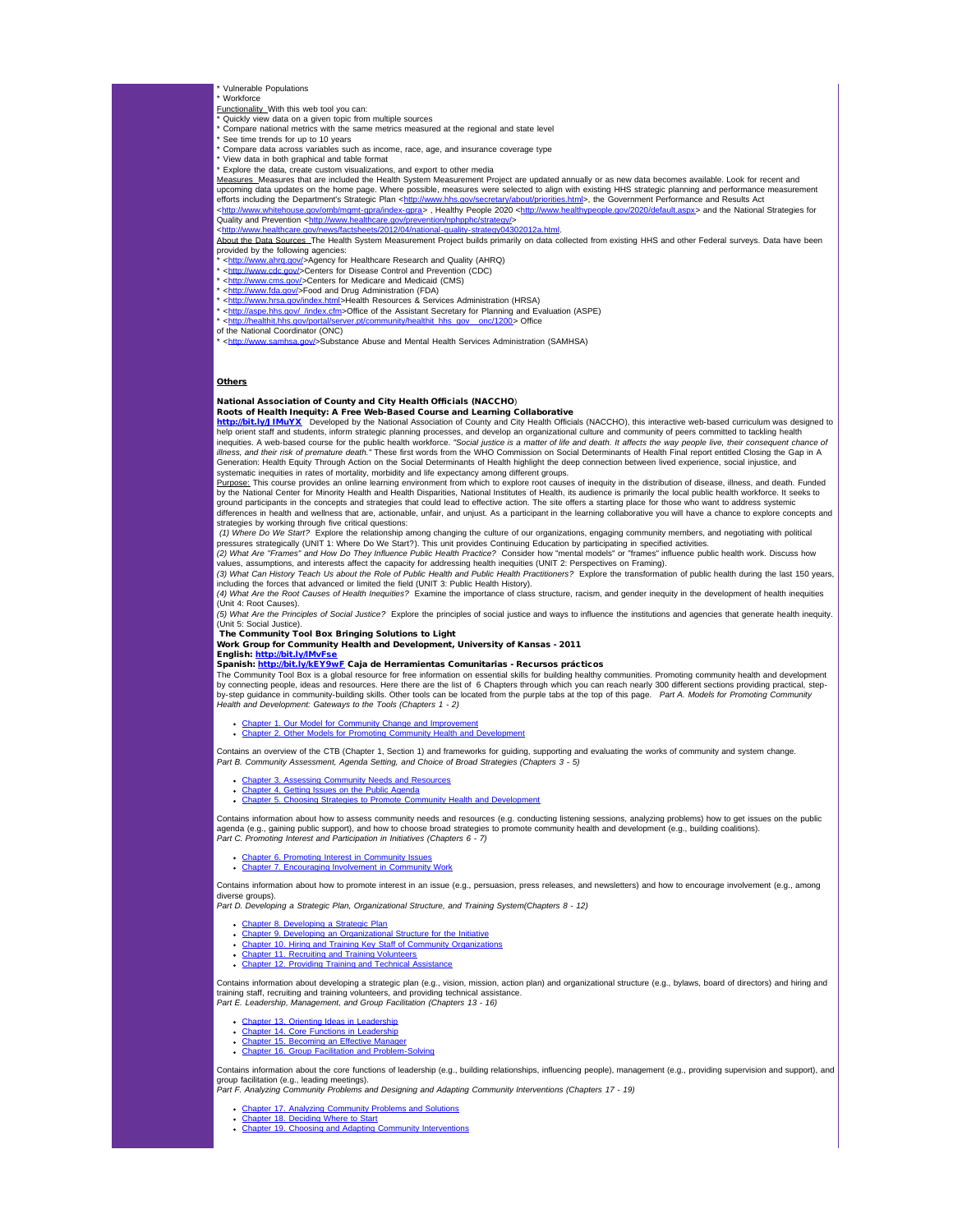- Vulnerable Populations
- Workforce Functionality With this web tool you can:
- Quickly view data on a given topic from multiple sources
- Compare national metrics with the same metrics measured at the regional and state level
- See time trends for up to 10 years
- Compare data across variables such as income, race, age, and insurance coverage type \* View data in both graphical and table format
- Explore the data, create custom visualizations, and export to other media

<u>Measures\_</u>Measures that are included the Health System Measurement Project are updated annually or as new data becomes available. Look for recent and<br>upcoming data updates on the home page. Where possible, measures were s efforts including the Department's Strategic Plan <<u>http://www.hhs.gov/secretary/about/priorities.html</u>>, the Government Performance and Results Act<br><<u>http://www.whitehouse.gov/omb/mgmt-gpra/index-gpra</u>> , Healthy People

Quality and Prevention <<u>http://www.healthcare.gov/prevention/nphpphc/strategy/</u><br><[http://www.healthcare.gov/news/factsheets/2012/04/national-quality-strategy04302012a.html.](http://r20.rs6.net/tn.jsp?t=47kgp4jab.0.mbuop4jab.5gytkqcab.1&ts=S0777&p=http%3A%2F%2Fwww.healthcare.gov%2Fnews%2Ffactsheets%2F2012%2F04%2Fnational-quality-strategy04302012a.html)

About the Data Sources The Health System Measurement Project builds primarily on data collected from existing HHS and other Federal surveys. Data have been provided by the following agencies:

- \* <[http://www.ahrq.gov/>](http://r20.rs6.net/tn.jsp?t=47kgp4jab.0.nbuop4jab.5gytkqcab.1&ts=S0777&p=http%3A%2F%2Fwww.ahrq.gov%2F)Agency for Healthcare Research and Quality (AHRQ)
- \* <[http://www.cdc.gov/>](http://r20.rs6.net/tn.jsp?t=47kgp4jab.0.fiynr5dab.5gytkqcab.1&ts=S0777&p=http%3A%2F%2Fwww.cdc.gov%2F)Centers for Disease Control and Prevention (CDC) \* <[http://www.cms.gov/](http://r20.rs6.net/tn.jsp?t=47kgp4jab.0.obuop4jab.5gytkqcab.1&ts=S0777&p=http%3A%2F%2Fwww.cms.gov%2F)>Centers for Medicare and Medicaid (CMS)
- 
- \* <<u>http://www.fda.gov/</u>>Food and Drug Administration (FDA)<br>\* <<u>http://www.hrsa.gov/index.html</u>>Health Resources & Services Administration (HRSA)
- \* <<u>http://aspe.hhs.gov/\_/index.cfm</u>>Office of the Assistant Secretary for Planning and Evaluation (ASPE)<br>\* <<u>http://healthit.hhs.gov/portal/server.pt/community/healthit\_hhs\_gov\_\_onc/1200</u>> Office
- of the National Coordinator (ONC)
- \* <[http://www.samhsa.gov/>](http://r20.rs6.net/tn.jsp?t=47kgp4jab.0.sbuop4jab.5gytkqcab.1&ts=S0777&p=http%3A%2F%2Fwww.samhsa.gov%2F)Substance Abuse and Mental Health Services Administration (SAMHSA)

# **Others**

# nal Association of County and City Health Officials (NACCHO)

**Roots of Health Inequity: A Free Web-Based Course and Learning Collaborative**<br><mark>http://bit.l.y/JIMuYX\_</mark> Developed by the National Association of County and City Health Officials (NACCHO), this interactive web-based curricu inequities. A web-based course for the public health workforce. "Social justice is a *matter of life and death. It affects the way people live, their consequent chance of*<br>*illness, and their risk of premature death.*" The

Generation: Health Equity Through Action on the Social Determinants of Health highlight the deep connection between lived experience, social injustice, and systematic inequities in rates of mortality, morbidity and life expectancy among different groups.

<u>Purpose:</u> This course provides an online learning environment from which to explore root causes of inequity in the distribution of disease, illness, and death. Funded<br>by the National Center for Minority Health and Health ground participants in the concepts and strategies that could lead to effective action. The site offers a starting place for those who want to address systemic<br>differences in health and wellness that are, actionable, unfai strategies by working through five critical questions:

(1) Where Do We Start? Explore the relationship among changing the culture of our organizations, engaging community members, and negotiating with political<br>pressures strategically (UNIT 1: Where Do We Start?). This unit pr *(2) What Are "Frames" and How Do They Influence Public Health Practice?* Consider how "mental models" or "frames" influence public health work. Discuss how

values, assumptions, and interests affect the capacity for addressing health inequities (UNIT 2: Perspectives on Framing).<br>(3) What Can History Teach Us about the Role of Public Health and Public Health Practitioners? Expl

including the forces that advanced or limited the field (UNIT 3: Public Health History).

*(4) What Are the Root Causes of Health Inequities?* Examine the importance of class structure, racism, and gender inequity in the development of health inequities (Unit 4: Root Causes).

*(5) What Are the Principles of Social Justice?* Explore the principles of social justice and ways to influence the institutions and agencies that generate health inequity. (Unit 5: Social Justice).

# The Community Tool Box Bringing Solutions to Light

Work Group for Community Health and Development, University of Kansas - 2011 English: [http://bit.ly/lMvFse](http://r20.rs6.net/tn.jsp?t=47kgp4jab.0.d48dzqgab.5gytkqcab.1&ts=S0777&p=http%3A%2F%2Fbit.ly%2FlMvFse)

# Spanish: [http://bit.ly/kEY9wF](http://r20.rs6.net/tn.jsp?t=47kgp4jab.0.e48dzqgab.5gytkqcab.1&ts=S0777&p=http%3A%2F%2Fbit.ly%2FkEY9wF) Caja de Herramientas Comunitarias - Recursos prácticos

The Community Tool Box is a global resource for free information on essential skills for building healthy communities. Promoting community health and development by connecting people, ideas and resources. Here there are the list of 6 Chapters through which you can reach nearly 300 different sections providing practical, step-<br>by-step guidance in community-building skills. Other too *Health and Development: Gateways to the Tools (Chapters 1 - 2)*

Chapter 1. Our Model for Community Change and Improv Chapter 2. Other Models for Promoting Community Health and D

Contains an overview of the CTB (Chapter 1, Section 1) and frameworks for guiding, supporting and evaluating the works of community and system change.<br>*Part B. Community Assessment, Agenda Setting, and Choice of Broad Stra* 

- **Assessing Community Needs and Resources** • **[Chapter 4. Getting Issues on the Public Agenda](http://r20.rs6.net/tn.jsp?t=47kgp4jab.0.i48dzqgab.5gytkqcab.1&ts=S0777&p=http%3A%2F%2Fctb.ku.edu%2Fen%2Ftablecontents%2Fchapter_1004.aspx)**
- [Chapter 5. Choosing Strategies to Promote Community Health and Development](http://r20.rs6.net/tn.jsp?t=47kgp4jab.0.j48dzqgab.5gytkqcab.1&ts=S0777&p=http%3A%2F%2Fctb.ku.edu%2Fen%2Ftablecontents%2Fchapter_1010.aspx)

Contains information about how to assess community needs and resources (e.g. conducting listening sessions, analyzing problems) how to get issues on the public<br>agenda (e.g., gaining public support), and how to choose broad agenda (e.g., gaining public support), and how to choose broad strategies to promote community health and development (e.g., building coal *Part C. Promoting Interest and Participation in Initiatives (Chapters 6 - 7)*

- [Chapter 6. Promoting Interest in Community Issues](http://r20.rs6.net/tn.jsp?t=47kgp4jab.0.k48dzqgab.5gytkqcab.1&ts=S0777&p=http%3A%2F%2Fctb.ku.edu%2Fen%2Ftablecontents%2Fchapter_1005.aspx)
- **Chapter 3. Fromoung Interest in Community Workshops**

Contains information about how to promote interest in an issue (e.g., persuasion, press releases, and newsletters) and how to encourage involvement (e.g., among liverse groups).

*Part D. Developing a Strategic Plan, Organizational Structure, and Training System(Chapters 8 - 12)*

- 
- [Chapter 8. Developing a Strategic Plan](http://r20.rs6.net/tn.jsp?t=47kgp4jab.0.m48dzqgab.5gytkqcab.1&ts=S0777&p=http%3A%2F%2Fctb.ku.edu%2Fen%2Ftablecontents%2Fchapter_1007.aspx) [Chapter 9. Developing an Organizational Structure for the Initiative](http://r20.rs6.net/tn.jsp?t=47kgp4jab.0.n48dzqgab.5gytkqcab.1&ts=S0777&p=http%3A%2F%2Fctb.ku.edu%2Fen%2Ftablecontents%2Fchapter_1008.aspx)
- [Chapter 10. Hiring and Training Key Staff of Community Organizations](http://r20.rs6.net/tn.jsp?t=47kgp4jab.0.o48dzqgab.5gytkqcab.1&ts=S0777&p=http%3A%2F%2Fctb.ku.edu%2Fen%2Ftablecontents%2Fchapter_1009.aspx) [Chapter 11. Recruiting and Training Volunteers](http://r20.rs6.net/tn.jsp?t=47kgp4jab.0.p48dzqgab.5gytkqcab.1&ts=S0777&p=http%3A%2F%2Fctb.ku.edu%2Fen%2Ftablecontents%2Fchapter_1011.aspx)
- Chapter 11. Providing Training and Technical Assistance

Contains information about developing a strategic plan (e.g., vision, mission, action plan) and organizational structure (e.g., bylaws, board of directors) and hiring and training staff, recruiting and training volunteers, and providing technical assistance. *Part E. Leadership, Management, and Group Facilitation (Chapters 13 - 16)*

- [Chapter 13. Orienting Ideas in Leadership](http://r20.rs6.net/tn.jsp?t=47kgp4jab.0.r48dzqgab.5gytkqcab.1&ts=S0777&p=http%3A%2F%2Fctb.ku.edu%2Fen%2Ftablecontents%2Fchapter_1013.aspx)
- [Chapter 14. Core Functions in Leadership](http://r20.rs6.net/tn.jsp?t=47kgp4jab.0.s48dzqgab.5gytkqcab.1&ts=S0777&p=http%3A%2F%2Fctb.ku.edu%2Fen%2Ftablecontents%2Fchapter_1014.aspx)
- [Chapter 15. Becoming an Effective Manager](http://r20.rs6.net/tn.jsp?t=47kgp4jab.0.t48dzqgab.5gytkqcab.1&ts=S0777&p=http%3A%2F%2Fctb.ku.edu%2Fen%2Ftablecontents%2Fchapter_1015.aspx) [Chapter 16. Group Facilitation and Problem-Solving](http://r20.rs6.net/tn.jsp?t=47kgp4jab.0.u48dzqgab.5gytkqcab.1&ts=S0777&p=http%3A%2F%2Fctb.ku.edu%2Fen%2Ftablecontents%2Fchapter_1016.aspx)

Contains information about the core functions of leadership (e.g., building relationships, influencing people), management (e.g., providing supervision and support), and group facilitation (e.g., leading meetings).<br>*Part F. Analyzing Community Problems and Designing and Adapting Community Interventions (Chapters 17 - 19)* 

- [Chapter 17. Analyzing Community Problems and Solutions](http://r20.rs6.net/tn.jsp?t=47kgp4jab.0.v48dzqgab.5gytkqcab.1&ts=S0777&p=http%3A%2F%2Fctb.ku.edu%2Fen%2Ftablecontents%2Fchapter_1017.aspx) [Chapter 18. Deciding Where to Start](http://r20.rs6.net/tn.jsp?t=47kgp4jab.0.w48dzqgab.5gytkqcab.1&ts=S0777&p=http%3A%2F%2Fctb.ku.edu%2Fen%2Ftablecontents%2Fchapter_1018.aspx)
- 
- [Chapter 19. Choosing and Adapting Community Interventions](http://r20.rs6.net/tn.jsp?t=47kgp4jab.0.x48dzqgab.5gytkqcab.1&ts=S0777&p=http%3A%2F%2Fctb.ku.edu%2Fen%2Ftablecontents%2Fchapter_1019.aspx)